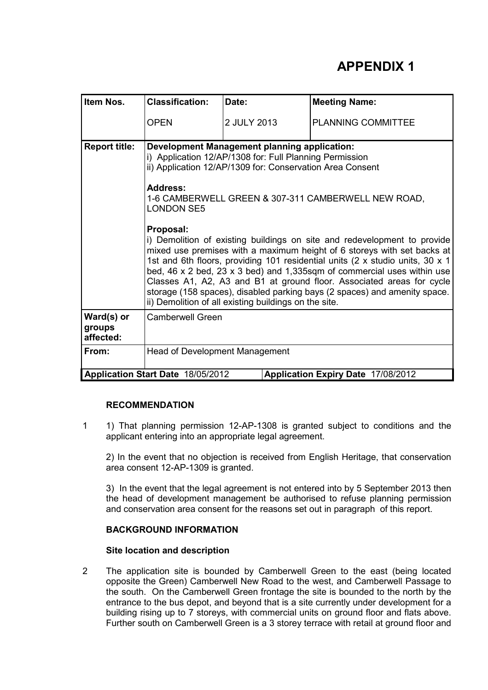# **APPENDIX 1**

| Item Nos.                                                               | <b>Classification:</b>                                                                                                                                                                                                                                                     | Date:                                                                                                                                                                                                                                                                                                                                                                                                                                                                                                                          | <b>Meeting Name:</b>      |  |  |
|-------------------------------------------------------------------------|----------------------------------------------------------------------------------------------------------------------------------------------------------------------------------------------------------------------------------------------------------------------------|--------------------------------------------------------------------------------------------------------------------------------------------------------------------------------------------------------------------------------------------------------------------------------------------------------------------------------------------------------------------------------------------------------------------------------------------------------------------------------------------------------------------------------|---------------------------|--|--|
|                                                                         | <b>OPEN</b>                                                                                                                                                                                                                                                                | 2 JULY 2013                                                                                                                                                                                                                                                                                                                                                                                                                                                                                                                    | <b>PLANNING COMMITTEE</b> |  |  |
| <b>Report title:</b>                                                    | <b>Development Management planning application:</b><br>i) Application 12/AP/1308 for: Full Planning Permission<br>ii) Application 12/AP/1309 for: Conservation Area Consent<br><b>Address:</b><br>1-6 CAMBERWELL GREEN & 307-311 CAMBERWELL NEW ROAD,<br><b>LONDON SE5</b> |                                                                                                                                                                                                                                                                                                                                                                                                                                                                                                                                |                           |  |  |
|                                                                         | Proposal:                                                                                                                                                                                                                                                                  | i) Demolition of existing buildings on site and redevelopment to provide<br>mixed use premises with a maximum height of 6 storeys with set backs at<br>1st and 6th floors, providing 101 residential units (2 x studio units, 30 x 1<br>bed, 46 x 2 bed, 23 x 3 bed) and 1,335sqm of commercial uses within use<br>Classes A1, A2, A3 and B1 at ground floor. Associated areas for cycle<br>storage (158 spaces), disabled parking bays (2 spaces) and amenity space.<br>ii) Demolition of all existing buildings on the site. |                           |  |  |
| Ward(s) or<br>groups<br>affected:                                       | <b>Camberwell Green</b>                                                                                                                                                                                                                                                    |                                                                                                                                                                                                                                                                                                                                                                                                                                                                                                                                |                           |  |  |
| From:                                                                   | <b>Head of Development Management</b>                                                                                                                                                                                                                                      |                                                                                                                                                                                                                                                                                                                                                                                                                                                                                                                                |                           |  |  |
| Application Start Date 18/05/2012<br>Application Expiry Date 17/08/2012 |                                                                                                                                                                                                                                                                            |                                                                                                                                                                                                                                                                                                                                                                                                                                                                                                                                |                           |  |  |

## **RECOMMENDATION**

1 1) That planning permission 12-AP-1308 is granted subject to conditions and the applicant entering into an appropriate legal agreement.

2) In the event that no objection is received from English Heritage, that conservation area consent 12-AP-1309 is granted.

3) In the event that the legal agreement is not entered into by 5 September 2013 then the head of development management be authorised to refuse planning permission and conservation area consent for the reasons set out in paragraph of this report.

## **BACKGROUND INFORMATION**

## **Site location and description**

2 The application site is bounded by Camberwell Green to the east (being located opposite the Green) Camberwell New Road to the west, and Camberwell Passage to the south. On the Camberwell Green frontage the site is bounded to the north by the entrance to the bus depot, and beyond that is a site currently under development for a building rising up to 7 storeys, with commercial units on ground floor and flats above. Further south on Camberwell Green is a 3 storey terrace with retail at ground floor and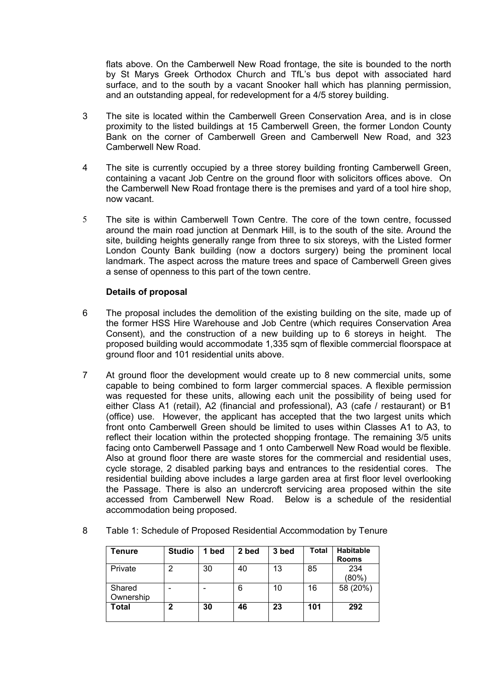flats above. On the Camberwell New Road frontage, the site is bounded to the north by St Marys Greek Orthodox Church and TfL's bus depot with associated hard surface, and to the south by a vacant Snooker hall which has planning permission, and an outstanding appeal, for redevelopment for a 4/5 storey building.

- 3 The site is located within the Camberwell Green Conservation Area, and is in close proximity to the listed buildings at 15 Camberwell Green, the former London County Bank on the corner of Camberwell Green and Camberwell New Road, and 323 Camberwell New Road.
- 4 The site is currently occupied by a three storey building fronting Camberwell Green, containing a vacant Job Centre on the ground floor with solicitors offices above. On the Camberwell New Road frontage there is the premises and yard of a tool hire shop, now vacant.
- 5 The site is within Camberwell Town Centre. The core of the town centre, focussed around the main road junction at Denmark Hill, is to the south of the site. Around the site, building heights generally range from three to six storeys, with the Listed former London County Bank building (now a doctors surgery) being the prominent local landmark. The aspect across the mature trees and space of Camberwell Green gives a sense of openness to this part of the town centre.

## **Details of proposal**

- 6 The proposal includes the demolition of the existing building on the site, made up of the former HSS Hire Warehouse and Job Centre (which requires Conservation Area Consent), and the construction of a new building up to 6 storeys in height. The proposed building would accommodate 1,335 sqm of flexible commercial floorspace at ground floor and 101 residential units above.
- 7 At ground floor the development would create up to 8 new commercial units, some capable to being combined to form larger commercial spaces. A flexible permission was requested for these units, allowing each unit the possibility of being used for either Class A1 (retail), A2 (financial and professional), A3 (cafe / restaurant) or B1 (office) use. However, the applicant has accepted that the two largest units which front onto Camberwell Green should be limited to uses within Classes A1 to A3, to reflect their location within the protected shopping frontage. The remaining 3/5 units facing onto Camberwell Passage and 1 onto Camberwell New Road would be flexible. Also at ground floor there are waste stores for the commercial and residential uses, cycle storage, 2 disabled parking bays and entrances to the residential cores. The residential building above includes a large garden area at first floor level overlooking the Passage. There is also an undercroft servicing area proposed within the site accessed from Camberwell New Road. Below is a schedule of the residential accommodation being proposed.

| Tenure    | <b>Studio</b> | 1 bed | 2 bed | 3 bed | <b>Total</b> | <b>Habitable</b><br><b>Rooms</b> |
|-----------|---------------|-------|-------|-------|--------------|----------------------------------|
| Private   | 2             | 30    | 40    | 13    | 85           | 234                              |
|           |               |       |       |       |              | (80%)                            |
| Shared    |               |       | 6     | 10    | 16           | 58 (20%)                         |
| Ownership |               |       |       |       |              |                                  |
| Total     | 2             | 30    | 46    | 23    | 101          | 292                              |
|           |               |       |       |       |              |                                  |

8 Table 1: Schedule of Proposed Residential Accommodation by Tenure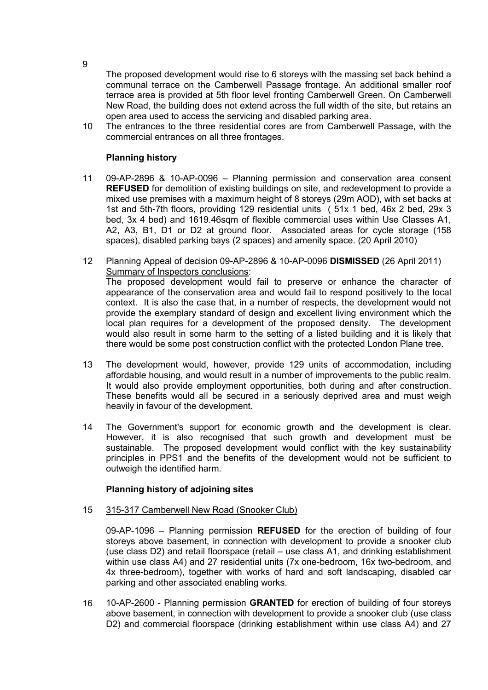The proposed development would rise to 6 storeys with the massing set back behind a communal terrace on the Camberwell Passage frontage. An additional smaller roof terrace area is provided at 5th floor level fronting Camberwell Green. On Camberwell New Road, the building does not extend across the full width of the site, but retains an open area used to access the servicing and disabled parking area.

10 The entrances to the three residential cores are from Camberwell Passage, with the commercial entrances on all three frontages.

## **Planning history**

- 11 09-AP-2896 & 10-AP-0096 Planning permission and conservation area consent **REFUSED** for demolition of existing buildings on site, and redevelopment to provide a mixed use premises with a maximum height of 8 storeys (29m AOD), with set backs at 1st and 5th-7th floors, providing 129 residential units ( 51x 1 bed, 46x 2 bed, 29x 3 bed, 3x 4 bed) and 1619.46sqm of flexible commercial uses within Use Classes A1, A2, A3, B1, D1 or D2 at ground floor. Associated areas for cycle storage (158 spaces), disabled parking bays (2 spaces) and amenity space. (20 April 2010)
- 12 Planning Appeal of decision 09-AP-2896 & 10-AP-0096 **DISMISSED** (26 April 2011) Summary of Inspectors conclusions: The proposed development would fail to preserve or enhance the character of appearance of the conservation area and would fail to respond positively to the local context. It is also the case that, in a number of respects, the development would not provide the exemplary standard of design and excellent living environment which the local plan requires for a development of the proposed density. The development would also result in some harm to the setting of a listed building and it is likely that there would be some post construction conflict with the protected London Plane tree.
- 13 The development would, however, provide 129 units of accommodation, including affordable housing, and would result in a number of improvements to the public realm. It would also provide employment opportunities, both during and after construction. These benefits would all be secured in a seriously deprived area and must weigh heavily in favour of the development.
- 14 The Government's support for economic growth and the development is clear. However, it is also recognised that such growth and development must be sustainable. The proposed development would conflict with the key sustainability principles in PPS1 and the benefits of the development would not be sufficient to outweigh the identified harm.

## **Planning history of adjoining sites**

#### 15 315-317 Camberwell New Road (Snooker Club)

09-AP-1096 – Planning permission **REFUSED** for the erection of building of four storeys above basement, in connection with development to provide a snooker club (use class D2) and retail floorspace (retail – use class A1, and drinking establishment within use class A4) and 27 residential units (7x one-bedroom, 16x two-bedroom, and 4x three-bedroom), together with works of hard and soft landscaping, disabled car parking and other associated enabling works.

16 10-AP-2600 - Planning permission **GRANTED** for erection of building of four storeys above basement, in connection with development to provide a snooker club (use class D2) and commercial floorspace (drinking establishment within use class A4) and 27

9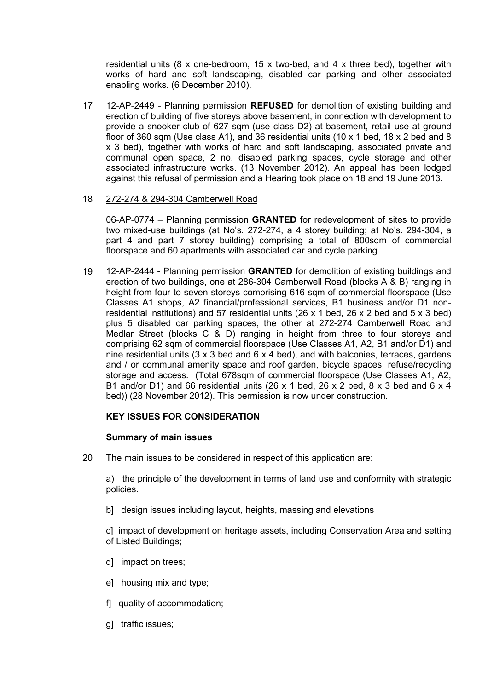residential units (8 x one-bedroom, 15 x two-bed, and 4 x three bed), together with works of hard and soft landscaping, disabled car parking and other associated enabling works. (6 December 2010).

17 12-AP-2449 - Planning permission **REFUSED** for demolition of existing building and erection of building of five storeys above basement, in connection with development to provide a snooker club of 627 sqm (use class D2) at basement, retail use at ground floor of 360 sqm (Use class A1), and 36 residential units (10 x 1 bed, 18 x 2 bed and 8 x 3 bed), together with works of hard and soft landscaping, associated private and communal open space, 2 no. disabled parking spaces, cycle storage and other associated infrastructure works. (13 November 2012). An appeal has been lodged against this refusal of permission and a Hearing took place on 18 and 19 June 2013.

### 18 272-274 & 294-304 Camberwell Road

06-AP-0774 – Planning permission **GRANTED** for redevelopment of sites to provide two mixed-use buildings (at No's. 272-274, a 4 storey building; at No's. 294-304, a part 4 and part 7 storey building) comprising a total of 800sqm of commercial floorspace and 60 apartments with associated car and cycle parking.

19 12-AP-2444 - Planning permission **GRANTED** for demolition of existing buildings and erection of two buildings, one at 286-304 Camberwell Road (blocks A & B) ranging in height from four to seven storeys comprising 616 sqm of commercial floorspace (Use Classes A1 shops, A2 financial/professional services, B1 business and/or D1 nonresidential institutions) and 57 residential units (26 x 1 bed, 26 x 2 bed and 5 x 3 bed) plus 5 disabled car parking spaces, the other at 272-274 Camberwell Road and Medlar Street (blocks C & D) ranging in height from three to four storeys and comprising 62 sqm of commercial floorspace (Use Classes A1, A2, B1 and/or D1) and nine residential units  $(3 \times 3 \text{ bed}$  and  $6 \times 4 \text{ bed})$ , and with balconies, terraces, gardens and / or communal amenity space and roof garden, bicycle spaces, refuse/recycling storage and access. (Total 678sqm of commercial floorspace (Use Classes A1, A2, B1 and/or D1) and 66 residential units (26 x 1 bed, 26 x 2 bed, 8 x 3 bed and 6 x 4 bed)) (28 November 2012). This permission is now under construction.

## **KEY ISSUES FOR CONSIDERATION**

## **Summary of main issues**

20 The main issues to be considered in respect of this application are:

a) the principle of the development in terms of land use and conformity with strategic policies.

b] design issues including layout, heights, massing and elevations

c] impact of development on heritage assets, including Conservation Area and setting of Listed Buildings;

- d] impact on trees;
- e] housing mix and type;
- f] quality of accommodation;
- g] traffic issues;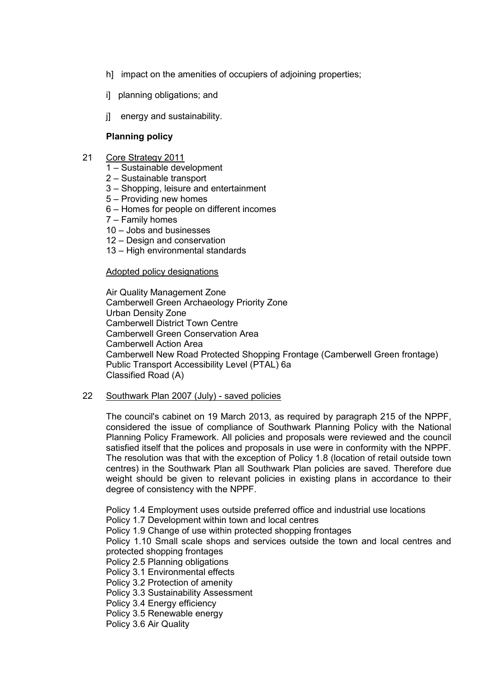- h] impact on the amenities of occupiers of adjoining properties;
- i] planning obligations; and
- j] energy and sustainability.

## **Planning policy**

- 21 Core Strategy 2011
	- 1 Sustainable development
	- 2 Sustainable transport
	- 3 Shopping, leisure and entertainment
	- 5 Providing new homes
	- 6 Homes for people on different incomes
	- 7 Family homes
	- 10 Jobs and businesses
	- 12 Design and conservation
	- 13 High environmental standards

### Adopted policy designations

Air Quality Management Zone Camberwell Green Archaeology Priority Zone Urban Density Zone Camberwell District Town Centre Camberwell Green Conservation Area Camberwell Action Area Camberwell New Road Protected Shopping Frontage (Camberwell Green frontage) Public Transport Accessibility Level (PTAL) 6a Classified Road (A)

#### 22 Southwark Plan 2007 (July) - saved policies

The council's cabinet on 19 March 2013, as required by paragraph 215 of the NPPF, considered the issue of compliance of Southwark Planning Policy with the National Planning Policy Framework. All policies and proposals were reviewed and the council satisfied itself that the polices and proposals in use were in conformity with the NPPF. The resolution was that with the exception of Policy 1.8 (location of retail outside town centres) in the Southwark Plan all Southwark Plan policies are saved. Therefore due weight should be given to relevant policies in existing plans in accordance to their degree of consistency with the NPPF.

Policy 1.4 Employment uses outside preferred office and industrial use locations

Policy 1.7 Development within town and local centres

Policy 1.9 Change of use within protected shopping frontages

Policy 1.10 Small scale shops and services outside the town and local centres and protected shopping frontages

Policy 2.5 Planning obligations

Policy 3.1 Environmental effects

Policy 3.2 Protection of amenity

Policy 3.3 Sustainability Assessment

Policy 3.4 Energy efficiency

Policy 3.5 Renewable energy

Policy 3.6 Air Quality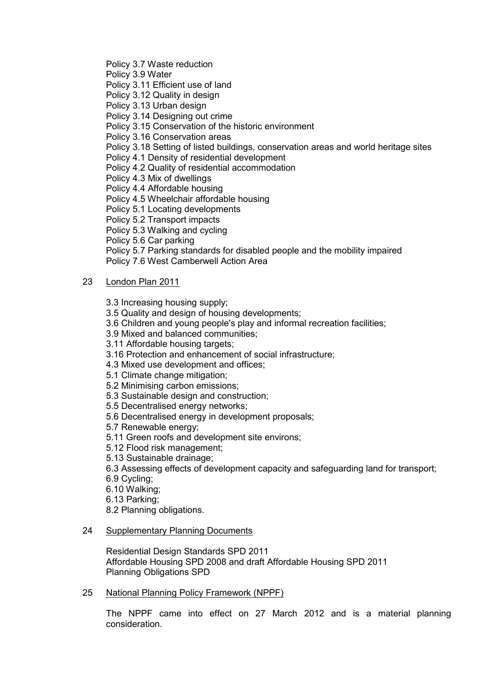Policy 3.7 Waste reduction

Policy 3.9 Water

Policy 3.11 Efficient use of land

Policy 3.12 Quality in design

Policy 3.13 Urban design

Policy 3.14 Designing out crime

Policy 3.15 Conservation of the historic environment

Policy 3.16 Conservation areas

Policy 3.18 Setting of listed buildings, conservation areas and world heritage sites

Policy 4.1 Density of residential development

Policy 4.2 Quality of residential accommodation

Policy 4.3 Mix of dwellings

Policy 4.4 Affordable housing

Policy 4.5 Wheelchair affordable housing

Policy 5.1 Locating developments

Policy 5.2 Transport impacts

Policy 5.3 Walking and cycling

Policy 5.6 Car parking

Policy 5.7 Parking standards for disabled people and the mobility impaired Policy 7.6 West Camberwell Action Area

## 23 London Plan 2011

3.3 Increasing housing supply;

3.5 Quality and design of housing developments;

3.6 Children and young people's play and informal recreation facilities;

3.9 Mixed and balanced communities;

3.11 Affordable housing targets;

3.16 Protection and enhancement of social infrastructure;

4.3 Mixed use development and offices;

5.1 Climate change mitigation;

5.2 Minimising carbon emissions;

5.3 Sustainable design and construction;

5.5 Decentralised energy networks;

5.6 Decentralised energy in development proposals;

5.7 Renewable energy;

5.11 Green roofs and development site environs;

5.12 Flood risk management;

5.13 Sustainable drainage;

6.3 Assessing effects of development capacity and safeguarding land for transport;

6.9 Cycling;

6.10 Walking;

6.13 Parking;

8.2 Planning obligations.

#### 24 Supplementary Planning Documents

Residential Design Standards SPD 2011 Affordable Housing SPD 2008 and draft Affordable Housing SPD 2011 Planning Obligations SPD

## 25 National Planning Policy Framework (NPPF)

The NPPF came into effect on 27 March 2012 and is a material planning consideration.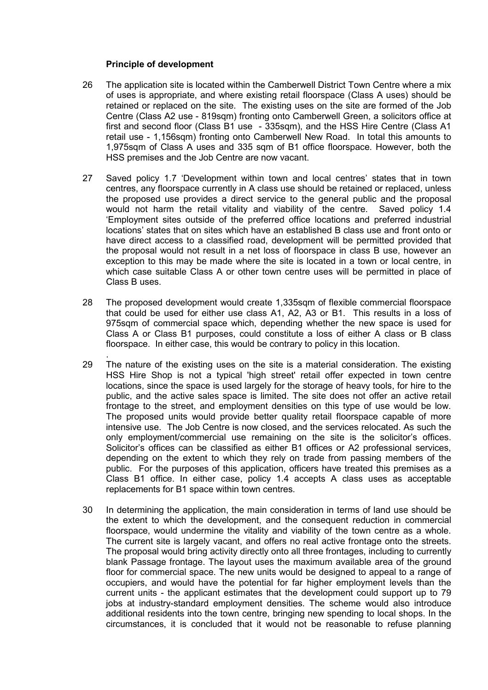### **Principle of development**

- 26 The application site is located within the Camberwell District Town Centre where a mix of uses is appropriate, and where existing retail floorspace (Class A uses) should be retained or replaced on the site. The existing uses on the site are formed of the Job Centre (Class A2 use - 819sqm) fronting onto Camberwell Green, a solicitors office at first and second floor (Class B1 use - 335sqm), and the HSS Hire Centre (Class A1 retail use - 1,156sqm) fronting onto Camberwell New Road. In total this amounts to 1,975sqm of Class A uses and 335 sqm of B1 office floorspace. However, both the HSS premises and the Job Centre are now vacant.
- 27 Saved policy 1.7 'Development within town and local centres' states that in town centres, any floorspace currently in A class use should be retained or replaced, unless the proposed use provides a direct service to the general public and the proposal would not harm the retail vitality and viability of the centre. Saved policy 1.4 'Employment sites outside of the preferred office locations and preferred industrial locations' states that on sites which have an established B class use and front onto or have direct access to a classified road, development will be permitted provided that the proposal would not result in a net loss of floorspace in class B use, however an exception to this may be made where the site is located in a town or local centre, in which case suitable Class A or other town centre uses will be permitted in place of Class B uses.
- 28 The proposed development would create 1,335sqm of flexible commercial floorspace that could be used for either use class A1, A2, A3 or B1. This results in a loss of 975sqm of commercial space which, depending whether the new space is used for Class A or Class B1 purposes, could constitute a loss of either A class or B class floorspace. In either case, this would be contrary to policy in this location.
- . 29 The nature of the existing uses on the site is a material consideration. The existing HSS Hire Shop is not a typical 'high street' retail offer expected in town centre locations, since the space is used largely for the storage of heavy tools, for hire to the public, and the active sales space is limited. The site does not offer an active retail frontage to the street, and employment densities on this type of use would be low. The proposed units would provide better quality retail floorspace capable of more intensive use. The Job Centre is now closed, and the services relocated. As such the only employment/commercial use remaining on the site is the solicitor's offices. Solicitor's offices can be classified as either B1 offices or A2 professional services, depending on the extent to which they rely on trade from passing members of the public. For the purposes of this application, officers have treated this premises as a Class B1 office. In either case, policy 1.4 accepts A class uses as acceptable replacements for B1 space within town centres.
- 30 In determining the application, the main consideration in terms of land use should be the extent to which the development, and the consequent reduction in commercial floorspace, would undermine the vitality and viability of the town centre as a whole. The current site is largely vacant, and offers no real active frontage onto the streets. The proposal would bring activity directly onto all three frontages, including to currently blank Passage frontage. The layout uses the maximum available area of the ground floor for commercial space. The new units would be designed to appeal to a range of occupiers, and would have the potential for far higher employment levels than the current units - the applicant estimates that the development could support up to 79 jobs at industry-standard employment densities. The scheme would also introduce additional residents into the town centre, bringing new spending to local shops. In the circumstances, it is concluded that it would not be reasonable to refuse planning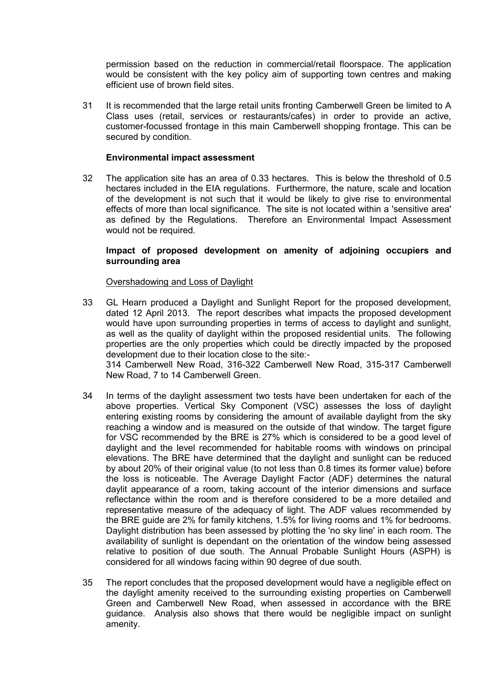permission based on the reduction in commercial/retail floorspace. The application would be consistent with the key policy aim of supporting town centres and making efficient use of brown field sites.

31 It is recommended that the large retail units fronting Camberwell Green be limited to A Class uses (retail, services or restaurants/cafes) in order to provide an active, customer-focussed frontage in this main Camberwell shopping frontage. This can be secured by condition.

## **Environmental impact assessment**

32 The application site has an area of 0.33 hectares. This is below the threshold of 0.5 hectares included in the EIA regulations. Furthermore, the nature, scale and location of the development is not such that it would be likely to give rise to environmental effects of more than local significance. The site is not located within a 'sensitive area' as defined by the Regulations. Therefore an Environmental Impact Assessment would not be required.

## **Impact of proposed development on amenity of adjoining occupiers and surrounding area**

#### Overshadowing and Loss of Daylight

- 33 GL Hearn produced a Daylight and Sunlight Report for the proposed development, dated 12 April 2013. The report describes what impacts the proposed development would have upon surrounding properties in terms of access to daylight and sunlight, as well as the quality of daylight within the proposed residential units. The following properties are the only properties which could be directly impacted by the proposed development due to their location close to the site:- 314 Camberwell New Road, 316-322 Camberwell New Road, 315-317 Camberwell New Road, 7 to 14 Camberwell Green.
- 34 In terms of the daylight assessment two tests have been undertaken for each of the above properties. Vertical Sky Component (VSC) assesses the loss of daylight entering existing rooms by considering the amount of available daylight from the sky reaching a window and is measured on the outside of that window. The target figure for VSC recommended by the BRE is 27% which is considered to be a good level of daylight and the level recommended for habitable rooms with windows on principal elevations. The BRE have determined that the daylight and sunlight can be reduced by about 20% of their original value (to not less than 0.8 times its former value) before the loss is noticeable. The Average Daylight Factor (ADF) determines the natural daylit appearance of a room, taking account of the interior dimensions and surface reflectance within the room and is therefore considered to be a more detailed and representative measure of the adequacy of light. The ADF values recommended by the BRE guide are 2% for family kitchens, 1.5% for living rooms and 1% for bedrooms. Daylight distribution has been assessed by plotting the 'no sky line' in each room. The availability of sunlight is dependant on the orientation of the window being assessed relative to position of due south. The Annual Probable Sunlight Hours (ASPH) is considered for all windows facing within 90 degree of due south.
- 35 The report concludes that the proposed development would have a negligible effect on the daylight amenity received to the surrounding existing properties on Camberwell Green and Camberwell New Road, when assessed in accordance with the BRE guidance. Analysis also shows that there would be negligible impact on sunlight amenity.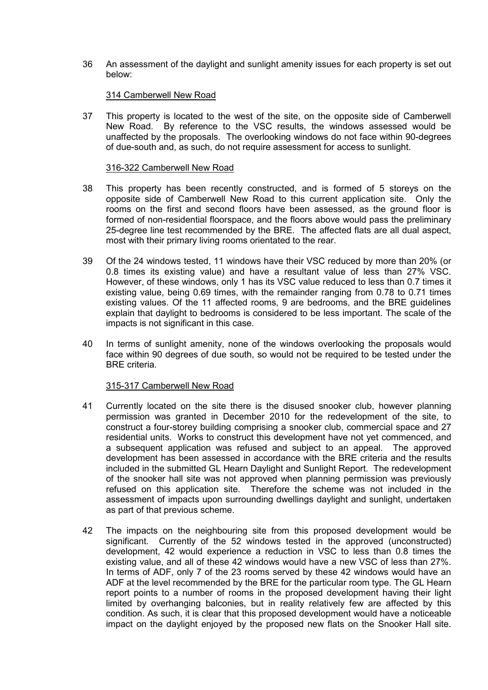36 An assessment of the daylight and sunlight amenity issues for each property is set out below:

### 314 Camberwell New Road

37 This property is located to the west of the site, on the opposite side of Camberwell New Road. By reference to the VSC results, the windows assessed would be unaffected by the proposals. The overlooking windows do not face within 90-degrees of due-south and, as such, do not require assessment for access to sunlight.

#### 316-322 Camberwell New Road

- 38 This property has been recently constructed, and is formed of 5 storeys on the opposite side of Camberwell New Road to this current application site. Only the rooms on the first and second floors have been assessed, as the ground floor is formed of non-residential floorspace, and the floors above would pass the preliminary 25-degree line test recommended by the BRE. The affected flats are all dual aspect, most with their primary living rooms orientated to the rear.
- 39 Of the 24 windows tested, 11 windows have their VSC reduced by more than 20% (or 0.8 times its existing value) and have a resultant value of less than 27% VSC. However, of these windows, only 1 has its VSC value reduced to less than 0.7 times it existing value, being 0.69 times, with the remainder ranging from 0.78 to 0.71 times existing values. Of the 11 affected rooms, 9 are bedrooms, and the BRE guidelines explain that daylight to bedrooms is considered to be less important. The scale of the impacts is not significant in this case.
- 40 In terms of sunlight amenity, none of the windows overlooking the proposals would face within 90 degrees of due south, so would not be required to be tested under the BRE criteria.

## 315-317 Camberwell New Road

- 41 Currently located on the site there is the disused snooker club, however planning permission was granted in December 2010 for the redevelopment of the site, to construct a four-storey building comprising a snooker club, commercial space and 27 residential units. Works to construct this development have not yet commenced, and a subsequent application was refused and subject to an appeal. The approved development has been assessed in accordance with the BRE criteria and the results included in the submitted GL Hearn Daylight and Sunlight Report. The redevelopment of the snooker hall site was not approved when planning permission was previously refused on this application site. Therefore the scheme was not included in the assessment of impacts upon surrounding dwellings daylight and sunlight, undertaken as part of that previous scheme.
- 42 The impacts on the neighbouring site from this proposed development would be significant. Currently of the 52 windows tested in the approved (unconstructed) development, 42 would experience a reduction in VSC to less than 0.8 times the existing value, and all of these 42 windows would have a new VSC of less than 27%. In terms of ADF, only 7 of the 23 rooms served by these 42 windows would have an ADF at the level recommended by the BRE for the particular room type. The GL Hearn report points to a number of rooms in the proposed development having their light limited by overhanging balconies, but in reality relatively few are affected by this condition. As such, it is clear that this proposed development would have a noticeable impact on the daylight enjoyed by the proposed new flats on the Snooker Hall site.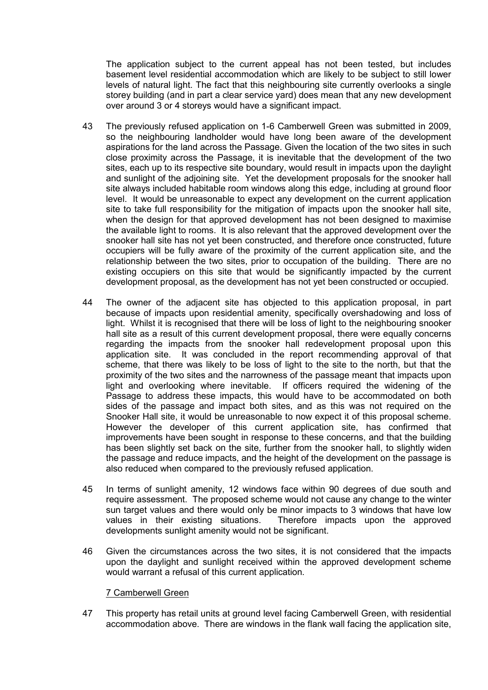The application subject to the current appeal has not been tested, but includes basement level residential accommodation which are likely to be subject to still lower levels of natural light. The fact that this neighbouring site currently overlooks a single storey building (and in part a clear service yard) does mean that any new development over around 3 or 4 storeys would have a significant impact.

- 43 The previously refused application on 1-6 Camberwell Green was submitted in 2009, so the neighbouring landholder would have long been aware of the development aspirations for the land across the Passage. Given the location of the two sites in such close proximity across the Passage, it is inevitable that the development of the two sites, each up to its respective site boundary, would result in impacts upon the daylight and sunlight of the adjoining site. Yet the development proposals for the snooker hall site always included habitable room windows along this edge, including at ground floor level. It would be unreasonable to expect any development on the current application site to take full responsibility for the mitigation of impacts upon the snooker hall site, when the design for that approved development has not been designed to maximise the available light to rooms. It is also relevant that the approved development over the snooker hall site has not yet been constructed, and therefore once constructed, future occupiers will be fully aware of the proximity of the current application site, and the relationship between the two sites, prior to occupation of the building. There are no existing occupiers on this site that would be significantly impacted by the current development proposal, as the development has not yet been constructed or occupied.
- 44 The owner of the adjacent site has objected to this application proposal, in part because of impacts upon residential amenity, specifically overshadowing and loss of light. Whilst it is recognised that there will be loss of light to the neighbouring snooker hall site as a result of this current development proposal, there were equally concerns regarding the impacts from the snooker hall redevelopment proposal upon this application site. It was concluded in the report recommending approval of that scheme, that there was likely to be loss of light to the site to the north, but that the proximity of the two sites and the narrowness of the passage meant that impacts upon light and overlooking where inevitable. If officers required the widening of the Passage to address these impacts, this would have to be accommodated on both sides of the passage and impact both sites, and as this was not required on the Snooker Hall site, it would be unreasonable to now expect it of this proposal scheme. However the developer of this current application site, has confirmed that improvements have been sought in response to these concerns, and that the building has been slightly set back on the site, further from the snooker hall, to slightly widen the passage and reduce impacts, and the height of the development on the passage is also reduced when compared to the previously refused application.
- 45 In terms of sunlight amenity, 12 windows face within 90 degrees of due south and require assessment. The proposed scheme would not cause any change to the winter sun target values and there would only be minor impacts to 3 windows that have low values in their existing situations. Therefore impacts upon the approved developments sunlight amenity would not be significant.
- 46 Given the circumstances across the two sites, it is not considered that the impacts upon the daylight and sunlight received within the approved development scheme would warrant a refusal of this current application.

#### 7 Camberwell Green

47 This property has retail units at ground level facing Camberwell Green, with residential accommodation above. There are windows in the flank wall facing the application site,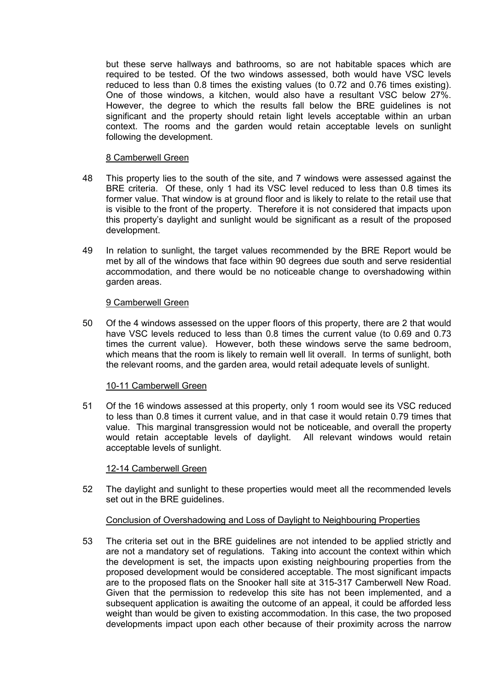but these serve hallways and bathrooms, so are not habitable spaces which are required to be tested. Of the two windows assessed, both would have VSC levels reduced to less than 0.8 times the existing values (to 0.72 and 0.76 times existing). One of those windows, a kitchen, would also have a resultant VSC below 27%. However, the degree to which the results fall below the BRE guidelines is not significant and the property should retain light levels acceptable within an urban context. The rooms and the garden would retain acceptable levels on sunlight following the development.

## 8 Camberwell Green

- 48 This property lies to the south of the site, and 7 windows were assessed against the BRE criteria. Of these, only 1 had its VSC level reduced to less than 0.8 times its former value. That window is at ground floor and is likely to relate to the retail use that is visible to the front of the property. Therefore it is not considered that impacts upon this property's daylight and sunlight would be significant as a result of the proposed development.
- 49 In relation to sunlight, the target values recommended by the BRE Report would be met by all of the windows that face within 90 degrees due south and serve residential accommodation, and there would be no noticeable change to overshadowing within garden areas.

#### 9 Camberwell Green

50 Of the 4 windows assessed on the upper floors of this property, there are 2 that would have VSC levels reduced to less than 0.8 times the current value (to 0.69 and 0.73 times the current value). However, both these windows serve the same bedroom, which means that the room is likely to remain well lit overall. In terms of sunlight, both the relevant rooms, and the garden area, would retail adequate levels of sunlight.

## 10-11 Camberwell Green

51 Of the 16 windows assessed at this property, only 1 room would see its VSC reduced to less than 0.8 times it current value, and in that case it would retain 0.79 times that value. This marginal transgression would not be noticeable, and overall the property would retain acceptable levels of daylight. All relevant windows would retain acceptable levels of sunlight.

#### 12-14 Camberwell Green

52 The daylight and sunlight to these properties would meet all the recommended levels set out in the BRE guidelines.

## Conclusion of Overshadowing and Loss of Daylight to Neighbouring Properties

53 The criteria set out in the BRE guidelines are not intended to be applied strictly and are not a mandatory set of regulations. Taking into account the context within which the development is set, the impacts upon existing neighbouring properties from the proposed development would be considered acceptable. The most significant impacts are to the proposed flats on the Snooker hall site at 315-317 Camberwell New Road. Given that the permission to redevelop this site has not been implemented, and a subsequent application is awaiting the outcome of an appeal, it could be afforded less weight than would be given to existing accommodation. In this case, the two proposed developments impact upon each other because of their proximity across the narrow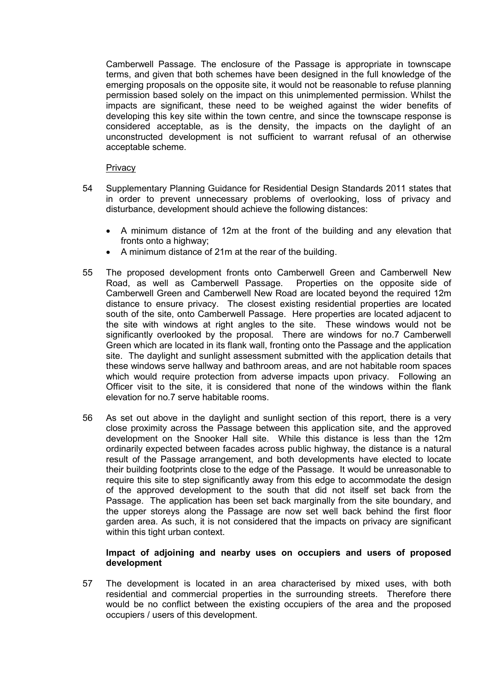Camberwell Passage. The enclosure of the Passage is appropriate in townscape terms, and given that both schemes have been designed in the full knowledge of the emerging proposals on the opposite site, it would not be reasonable to refuse planning permission based solely on the impact on this unimplemented permission. Whilst the impacts are significant, these need to be weighed against the wider benefits of developing this key site within the town centre, and since the townscape response is considered acceptable, as is the density, the impacts on the daylight of an unconstructed development is not sufficient to warrant refusal of an otherwise acceptable scheme.

#### **Privacy**

- 54 Supplementary Planning Guidance for Residential Design Standards 2011 states that in order to prevent unnecessary problems of overlooking, loss of privacy and disturbance, development should achieve the following distances:
	- A minimum distance of 12m at the front of the building and any elevation that fronts onto a highway;
	- A minimum distance of 21m at the rear of the building.
- 55 The proposed development fronts onto Camberwell Green and Camberwell New Road, as well as Camberwell Passage. Properties on the opposite side of Camberwell Green and Camberwell New Road are located beyond the required 12m distance to ensure privacy. The closest existing residential properties are located south of the site, onto Camberwell Passage. Here properties are located adjacent to the site with windows at right angles to the site. These windows would not be significantly overlooked by the proposal. There are windows for no.7 Camberwell Green which are located in its flank wall, fronting onto the Passage and the application site. The daylight and sunlight assessment submitted with the application details that these windows serve hallway and bathroom areas, and are not habitable room spaces which would require protection from adverse impacts upon privacy. Following an Officer visit to the site, it is considered that none of the windows within the flank elevation for no.7 serve habitable rooms.
- 56 As set out above in the daylight and sunlight section of this report, there is a very close proximity across the Passage between this application site, and the approved development on the Snooker Hall site. While this distance is less than the 12m ordinarily expected between facades across public highway, the distance is a natural result of the Passage arrangement, and both developments have elected to locate their building footprints close to the edge of the Passage. It would be unreasonable to require this site to step significantly away from this edge to accommodate the design of the approved development to the south that did not itself set back from the Passage. The application has been set back marginally from the site boundary, and the upper storeys along the Passage are now set well back behind the first floor garden area. As such, it is not considered that the impacts on privacy are significant within this tight urban context.

### **Impact of adjoining and nearby uses on occupiers and users of proposed development**

57 The development is located in an area characterised by mixed uses, with both residential and commercial properties in the surrounding streets. Therefore there would be no conflict between the existing occupiers of the area and the proposed occupiers / users of this development.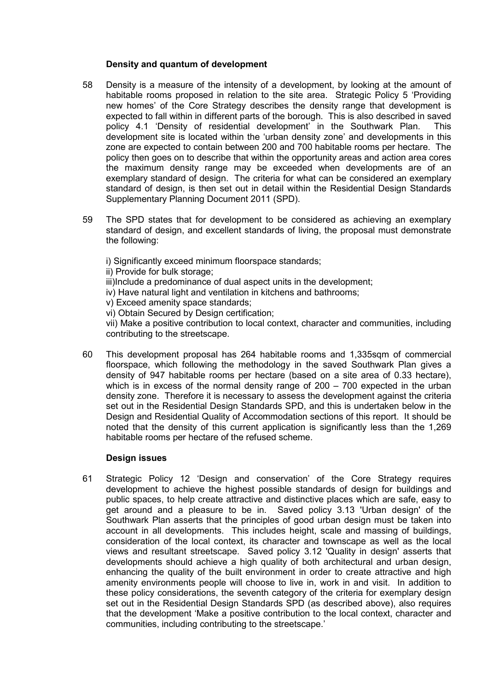## **Density and quantum of development**

- 58 Density is a measure of the intensity of a development, by looking at the amount of habitable rooms proposed in relation to the site area. Strategic Policy 5 'Providing new homes' of the Core Strategy describes the density range that development is expected to fall within in different parts of the borough. This is also described in saved policy 4.1 'Density of residential development' in the Southwark Plan. This development site is located within the 'urban density zone' and developments in this zone are expected to contain between 200 and 700 habitable rooms per hectare. The policy then goes on to describe that within the opportunity areas and action area cores the maximum density range may be exceeded when developments are of an exemplary standard of design. The criteria for what can be considered an exemplary standard of design, is then set out in detail within the Residential Design Standards Supplementary Planning Document 2011 (SPD).
- 59 The SPD states that for development to be considered as achieving an exemplary standard of design, and excellent standards of living, the proposal must demonstrate the following:

i) Significantly exceed minimum floorspace standards; ii) Provide for bulk storage; iii)Include a predominance of dual aspect units in the development; iv) Have natural light and ventilation in kitchens and bathrooms; v) Exceed amenity space standards; vi) Obtain Secured by Design certification; vii) Make a positive contribution to local context, character and communities, including contributing to the streetscape.

60 This development proposal has 264 habitable rooms and 1,335sqm of commercial floorspace, which following the methodology in the saved Southwark Plan gives a density of 947 habitable rooms per hectare (based on a site area of 0.33 hectare), which is in excess of the normal density range of 200 – 700 expected in the urban density zone. Therefore it is necessary to assess the development against the criteria set out in the Residential Design Standards SPD, and this is undertaken below in the Design and Residential Quality of Accommodation sections of this report. It should be noted that the density of this current application is significantly less than the 1,269 habitable rooms per hectare of the refused scheme.

## **Design issues**

61 Strategic Policy 12 'Design and conservation' of the Core Strategy requires development to achieve the highest possible standards of design for buildings and public spaces, to help create attractive and distinctive places which are safe, easy to get around and a pleasure to be in. Saved policy 3.13 'Urban design' of the Southwark Plan asserts that the principles of good urban design must be taken into account in all developments. This includes height, scale and massing of buildings, consideration of the local context, its character and townscape as well as the local views and resultant streetscape. Saved policy 3.12 'Quality in design' asserts that developments should achieve a high quality of both architectural and urban design, enhancing the quality of the built environment in order to create attractive and high amenity environments people will choose to live in, work in and visit. In addition to these policy considerations, the seventh category of the criteria for exemplary design set out in the Residential Design Standards SPD (as described above), also requires that the development 'Make a positive contribution to the local context, character and communities, including contributing to the streetscape.'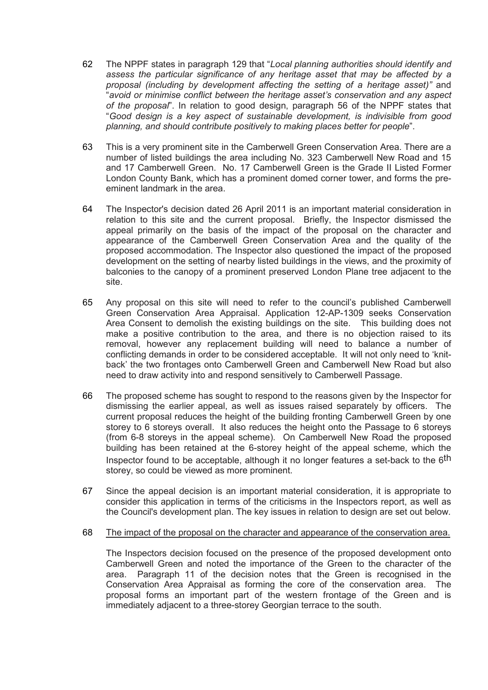- 62 The NPPF states in paragraph 129 that "*Local planning authorities should identify and assess the particular significance of any heritage asset that may be affected by a proposal (including by development affecting the setting of a heritage asset)"* and "*avoid or minimise conflict between the heritage asset's conservation and any aspect of the proposal*". In relation to good design, paragraph 56 of the NPPF states that "*Good design is a key aspect of sustainable development, is indivisible from good planning, and should contribute positively to making places better for people*".
- 63 This is a very prominent site in the Camberwell Green Conservation Area. There are a number of listed buildings the area including No. 323 Camberwell New Road and 15 and 17 Camberwell Green. No. 17 Camberwell Green is the Grade II Listed Former London County Bank, which has a prominent domed corner tower, and forms the preeminent landmark in the area.
- 64 The Inspector's decision dated 26 April 2011 is an important material consideration in relation to this site and the current proposal. Briefly, the Inspector dismissed the appeal primarily on the basis of the impact of the proposal on the character and appearance of the Camberwell Green Conservation Area and the quality of the proposed accommodation. The Inspector also questioned the impact of the proposed development on the setting of nearby listed buildings in the views, and the proximity of balconies to the canopy of a prominent preserved London Plane tree adjacent to the site.
- 65 Any proposal on this site will need to refer to the council's published Camberwell Green Conservation Area Appraisal. Application 12-AP-1309 seeks Conservation Area Consent to demolish the existing buildings on the site. This building does not make a positive contribution to the area, and there is no objection raised to its removal, however any replacement building will need to balance a number of conflicting demands in order to be considered acceptable. It will not only need to 'knitback' the two frontages onto Camberwell Green and Camberwell New Road but also need to draw activity into and respond sensitively to Camberwell Passage.
- 66 The proposed scheme has sought to respond to the reasons given by the Inspector for dismissing the earlier appeal, as well as issues raised separately by officers. The current proposal reduces the height of the building fronting Camberwell Green by one storey to 6 storeys overall. It also reduces the height onto the Passage to 6 storeys (from 6-8 storeys in the appeal scheme). On Camberwell New Road the proposed building has been retained at the 6-storey height of the appeal scheme, which the Inspector found to be acceptable, although it no longer features a set-back to the  $6<sup>th</sup>$ storey, so could be viewed as more prominent.
- 67 Since the appeal decision is an important material consideration, it is appropriate to consider this application in terms of the criticisms in the Inspectors report, as well as the Council's development plan. The key issues in relation to design are set out below.

#### 68 The impact of the proposal on the character and appearance of the conservation area.

The Inspectors decision focused on the presence of the proposed development onto Camberwell Green and noted the importance of the Green to the character of the area. Paragraph 11 of the decision notes that the Green is recognised in the Conservation Area Appraisal as forming the core of the conservation area. The proposal forms an important part of the western frontage of the Green and is immediately adjacent to a three-storey Georgian terrace to the south.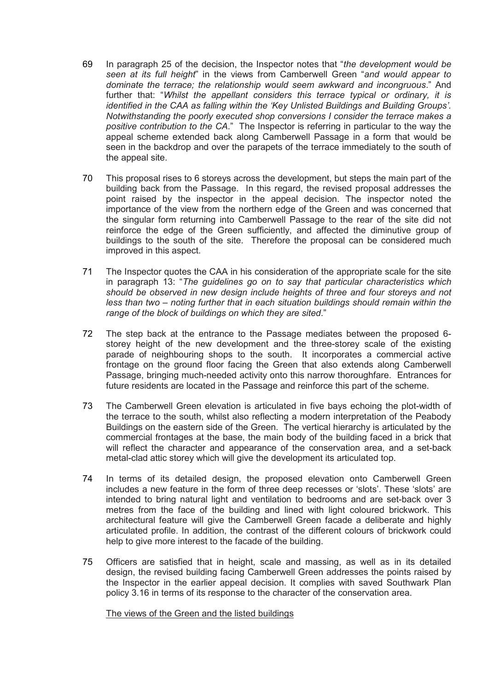- 69 In paragraph 25 of the decision, the Inspector notes that "*the development would be seen at its full height*" in the views from Camberwell Green "*and would appear to dominate the terrace; the relationship would seem awkward and incongruous*." And further that: "*Whilst the appellant considers this terrace typical or ordinary, it is identified in the CAA as falling within the 'Key Unlisted Buildings and Building Groups'. Notwithstanding the poorly executed shop conversions I consider the terrace makes a positive contribution to the CA*." The Inspector is referring in particular to the way the appeal scheme extended back along Camberwell Passage in a form that would be seen in the backdrop and over the parapets of the terrace immediately to the south of the appeal site.
- 70 This proposal rises to 6 storeys across the development, but steps the main part of the building back from the Passage. In this regard, the revised proposal addresses the point raised by the inspector in the appeal decision. The inspector noted the importance of the view from the northern edge of the Green and was concerned that the singular form returning into Camberwell Passage to the rear of the site did not reinforce the edge of the Green sufficiently, and affected the diminutive group of buildings to the south of the site. Therefore the proposal can be considered much improved in this aspect.
- 71 The Inspector quotes the CAA in his consideration of the appropriate scale for the site in paragraph 13: "*The guidelines go on to say that particular characteristics which should be observed in new design include heights of three and four storeys and not less than two – noting further that in each situation buildings should remain within the range of the block of buildings on which they are sited*."
- 72 The step back at the entrance to the Passage mediates between the proposed 6 storey height of the new development and the three-storey scale of the existing parade of neighbouring shops to the south. It incorporates a commercial active frontage on the ground floor facing the Green that also extends along Camberwell Passage, bringing much-needed activity onto this narrow thoroughfare. Entrances for future residents are located in the Passage and reinforce this part of the scheme.
- 73 The Camberwell Green elevation is articulated in five bays echoing the plot-width of the terrace to the south, whilst also reflecting a modern interpretation of the Peabody Buildings on the eastern side of the Green. The vertical hierarchy is articulated by the commercial frontages at the base, the main body of the building faced in a brick that will reflect the character and appearance of the conservation area, and a set-back metal-clad attic storey which will give the development its articulated top.
- 74 In terms of its detailed design, the proposed elevation onto Camberwell Green includes a new feature in the form of three deep recesses or 'slots'. These 'slots' are intended to bring natural light and ventilation to bedrooms and are set-back over 3 metres from the face of the building and lined with light coloured brickwork. This architectural feature will give the Camberwell Green facade a deliberate and highly articulated profile. In addition, the contrast of the different colours of brickwork could help to give more interest to the facade of the building.
- 75 Officers are satisfied that in height, scale and massing, as well as in its detailed design, the revised building facing Camberwell Green addresses the points raised by the Inspector in the earlier appeal decision. It complies with saved Southwark Plan policy 3.16 in terms of its response to the character of the conservation area.

## The views of the Green and the listed buildings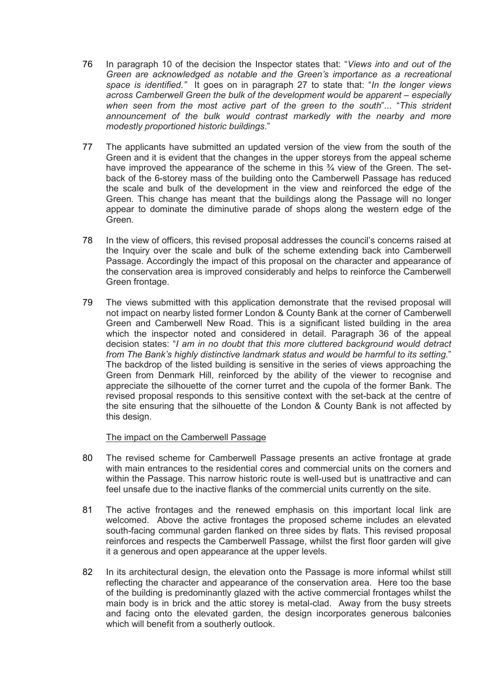- 76 In paragraph 10 of the decision the Inspector states that: "*Views into and out of the Green are acknowledged as notable and the Green's importance as a recreational space is identified."* It goes on in paragraph 27 to state that: "*In the longer views across Camberwell Green the bulk of the development would be apparent – especially when seen from the most active part of the green to the south*"... "*This strident announcement of the bulk would contrast markedly with the nearby and more modestly proportioned historic buildings*."
- 77 The applicants have submitted an updated version of the view from the south of the Green and it is evident that the changes in the upper storeys from the appeal scheme have improved the appearance of the scheme in this  $\frac{3}{4}$  view of the Green. The setback of the 6-storey mass of the building onto the Camberwell Passage has reduced the scale and bulk of the development in the view and reinforced the edge of the Green. This change has meant that the buildings along the Passage will no longer appear to dominate the diminutive parade of shops along the western edge of the Green.
- 78 In the view of officers, this revised proposal addresses the council's concerns raised at the Inquiry over the scale and bulk of the scheme extending back into Camberwell Passage. Accordingly the impact of this proposal on the character and appearance of the conservation area is improved considerably and helps to reinforce the Camberwell Green frontage.
- 79 The views submitted with this application demonstrate that the revised proposal will not impact on nearby listed former London & County Bank at the corner of Camberwell Green and Camberwell New Road. This is a significant listed building in the area which the inspector noted and considered in detail. Paragraph 36 of the appeal decision states: "*I am in no doubt that this more cluttered background would detract from The Bank's highly distinctive landmark status and would be harmful to its setting*." The backdrop of the listed building is sensitive in the series of views approaching the Green from Denmark Hill, reinforced by the ability of the viewer to recognise and appreciate the silhouette of the corner turret and the cupola of the former Bank. The revised proposal responds to this sensitive context with the set-back at the centre of the site ensuring that the silhouette of the London & County Bank is not affected by this design.

#### The impact on the Camberwell Passage

- 80 The revised scheme for Camberwell Passage presents an active frontage at grade with main entrances to the residential cores and commercial units on the corners and within the Passage. This narrow historic route is well-used but is unattractive and can feel unsafe due to the inactive flanks of the commercial units currently on the site.
- 81 The active frontages and the renewed emphasis on this important local link are welcomed. Above the active frontages the proposed scheme includes an elevated south-facing communal garden flanked on three sides by flats. This revised proposal reinforces and respects the Camberwell Passage, whilst the first floor garden will give it a generous and open appearance at the upper levels.
- 82 In its architectural design, the elevation onto the Passage is more informal whilst still reflecting the character and appearance of the conservation area. Here too the base of the building is predominantly glazed with the active commercial frontages whilst the main body is in brick and the attic storey is metal-clad. Away from the busy streets and facing onto the elevated garden, the design incorporates generous balconies which will benefit from a southerly outlook.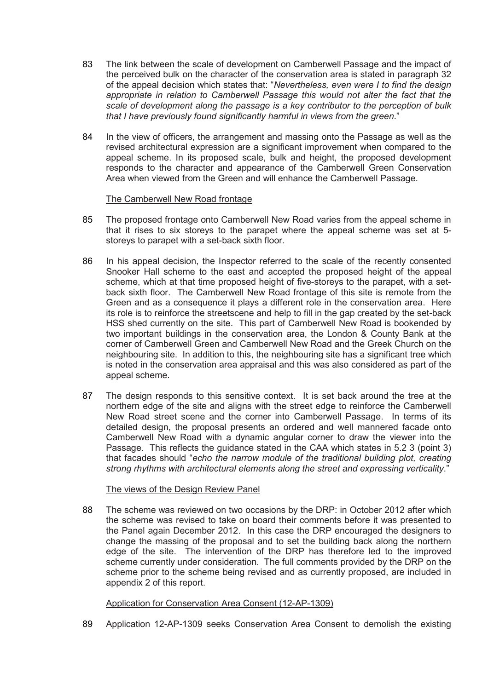- 83 The link between the scale of development on Camberwell Passage and the impact of the perceived bulk on the character of the conservation area is stated in paragraph 32 of the appeal decision which states that: "*Nevertheless, even were I to find the design appropriate in relation to Camberwell Passage this would not alter the fact that the scale of development along the passage is a key contributor to the perception of bulk that I have previously found significantly harmful in views from the green*."
- 84 In the view of officers, the arrangement and massing onto the Passage as well as the revised architectural expression are a significant improvement when compared to the appeal scheme. In its proposed scale, bulk and height, the proposed development responds to the character and appearance of the Camberwell Green Conservation Area when viewed from the Green and will enhance the Camberwell Passage.

### The Camberwell New Road frontage

- 85 The proposed frontage onto Camberwell New Road varies from the appeal scheme in that it rises to six storeys to the parapet where the appeal scheme was set at 5 storeys to parapet with a set-back sixth floor.
- 86 In his appeal decision, the Inspector referred to the scale of the recently consented Snooker Hall scheme to the east and accepted the proposed height of the appeal scheme, which at that time proposed height of five-storeys to the parapet, with a setback sixth floor. The Camberwell New Road frontage of this site is remote from the Green and as a consequence it plays a different role in the conservation area. Here its role is to reinforce the streetscene and help to fill in the gap created by the set-back HSS shed currently on the site. This part of Camberwell New Road is bookended by two important buildings in the conservation area, the London & County Bank at the corner of Camberwell Green and Camberwell New Road and the Greek Church on the neighbouring site. In addition to this, the neighbouring site has a significant tree which is noted in the conservation area appraisal and this was also considered as part of the appeal scheme.
- 87 The design responds to this sensitive context. It is set back around the tree at the northern edge of the site and aligns with the street edge to reinforce the Camberwell New Road street scene and the corner into Camberwell Passage. In terms of its detailed design, the proposal presents an ordered and well mannered facade onto Camberwell New Road with a dynamic angular corner to draw the viewer into the Passage. This reflects the guidance stated in the CAA which states in 5.2 3 (point 3) that facades should "*echo the narrow module of the traditional building plot, creating strong rhythms with architectural elements along the street and expressing verticality*."

#### The views of the Design Review Panel

88 The scheme was reviewed on two occasions by the DRP: in October 2012 after which the scheme was revised to take on board their comments before it was presented to the Panel again December 2012. In this case the DRP encouraged the designers to change the massing of the proposal and to set the building back along the northern edge of the site. The intervention of the DRP has therefore led to the improved scheme currently under consideration. The full comments provided by the DRP on the scheme prior to the scheme being revised and as currently proposed, are included in appendix 2 of this report.

## Application for Conservation Area Consent (12-AP-1309)

89 Application 12-AP-1309 seeks Conservation Area Consent to demolish the existing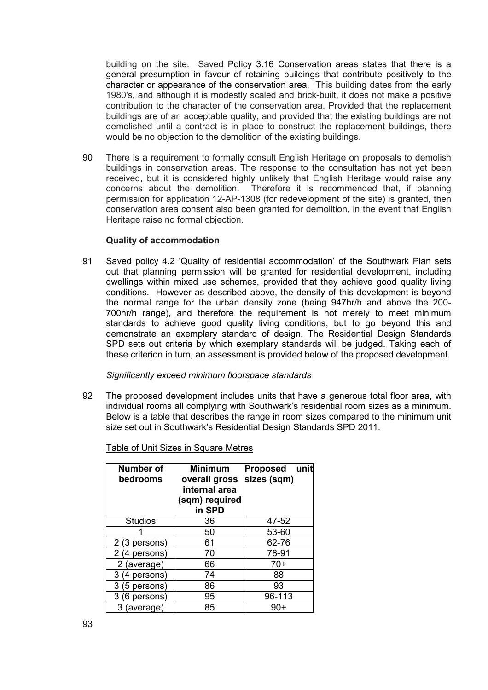building on the site. Saved Policy 3.16 Conservation areas states that there is a general presumption in favour of retaining buildings that contribute positively to the character or appearance of the conservation area. This building dates from the early 1980's, and although it is modestly scaled and brick-built, it does not make a positive contribution to the character of the conservation area. Provided that the replacement buildings are of an acceptable quality, and provided that the existing buildings are not demolished until a contract is in place to construct the replacement buildings, there would be no objection to the demolition of the existing buildings.

90 There is a requirement to formally consult English Heritage on proposals to demolish buildings in conservation areas. The response to the consultation has not yet been received, but it is considered highly unlikely that English Heritage would raise any concerns about the demolition. Therefore it is recommended that, if planning permission for application 12-AP-1308 (for redevelopment of the site) is granted, then conservation area consent also been granted for demolition, in the event that English Heritage raise no formal objection.

### **Quality of accommodation**

91 Saved policy 4.2 'Quality of residential accommodation' of the Southwark Plan sets out that planning permission will be granted for residential development, including dwellings within mixed use schemes, provided that they achieve good quality living conditions. However as described above, the density of this development is beyond the normal range for the urban density zone (being 947hr/h and above the 200- 700hr/h range), and therefore the requirement is not merely to meet minimum standards to achieve good quality living conditions, but to go beyond this and demonstrate an exemplary standard of design. The Residential Design Standards SPD sets out criteria by which exemplary standards will be judged. Taking each of these criterion in turn, an assessment is provided below of the proposed development.

#### *Significantly exceed minimum floorspace standards*

92 The proposed development includes units that have a generous total floor area, with individual rooms all complying with Southwark's residential room sizes as a minimum. Below is a table that describes the range in room sizes compared to the minimum unit size set out in Southwark's Residential Design Standards SPD 2011.

| <b>Number of</b><br>bedrooms | <b>Minimum</b><br>overall gross<br>internal area<br>(sqm) required<br>in SPD | <b>Proposed</b><br>unit<br>sizes (sqm) |
|------------------------------|------------------------------------------------------------------------------|----------------------------------------|
| <b>Studios</b>               | 36                                                                           | 47-52                                  |
|                              | 50                                                                           | 53-60                                  |
| 2 (3 persons)                | 61                                                                           | 62-76                                  |
| 2 (4 persons)                | 70                                                                           | 78-91                                  |
| 2 (average)                  | 66                                                                           | 70+                                    |
| 3 (4 persons)                | 74                                                                           | 88                                     |
| 3 (5 persons)                | 86                                                                           | 93                                     |
| 3 (6 persons)                | 95                                                                           | 96-113                                 |
| 3 (average)                  | 85                                                                           |                                        |

Table of Unit Sizes in Square Metres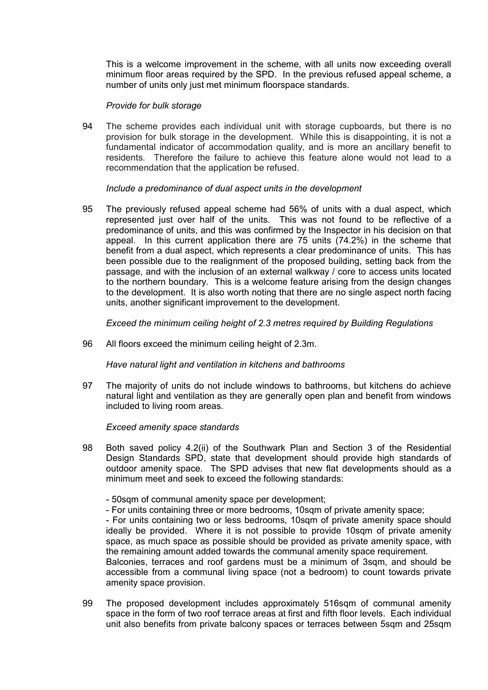This is a welcome improvement in the scheme, with all units now exceeding overall minimum floor areas required by the SPD. In the previous refused appeal scheme, a number of units only just met minimum floorspace standards.

#### *Provide for bulk storage*

94 The scheme provides each individual unit with storage cupboards, but there is no provision for bulk storage in the development. While this is disappointing, it is not a fundamental indicator of accommodation quality, and is more an ancillary benefit to residents. Therefore the failure to achieve this feature alone would not lead to a recommendation that the application be refused.

## *Include a predominance of dual aspect units in the development*

95 The previously refused appeal scheme had 56% of units with a dual aspect, which represented just over half of the units. This was not found to be reflective of a predominance of units, and this was confirmed by the Inspector in his decision on that appeal. In this current application there are 75 units (74.2%) in the scheme that benefit from a dual aspect, which represents a clear predominance of units. This has been possible due to the realignment of the proposed building, setting back from the passage, and with the inclusion of an external walkway / core to access units located to the northern boundary. This is a welcome feature arising from the design changes to the development. It is also worth noting that there are no single aspect north facing units, another significant improvement to the development.

*Exceed the minimum ceiling height of 2.3 metres required by Building Regulations* 

96 All floors exceed the minimum ceiling height of 2.3m.

*Have natural light and ventilation in kitchens and bathrooms* 

97 The majority of units do not include windows to bathrooms, but kitchens do achieve natural light and ventilation as they are generally open plan and benefit from windows included to living room areas.

*Exceed amenity space standards* 

- 98 Both saved policy 4.2(ii) of the Southwark Plan and Section 3 of the Residential Design Standards SPD, state that development should provide high standards of outdoor amenity space. The SPD advises that new flat developments should as a minimum meet and seek to exceed the following standards:
	- 50sqm of communal amenity space per development;
	- For units containing three or more bedrooms, 10sqm of private amenity space;

- For units containing two or less bedrooms, 10sqm of private amenity space should ideally be provided. Where it is not possible to provide 10sqm of private amenity space, as much space as possible should be provided as private amenity space, with the remaining amount added towards the communal amenity space requirement.

Balconies, terraces and roof gardens must be a minimum of 3sqm, and should be accessible from a communal living space (not a bedroom) to count towards private amenity space provision.

99 The proposed development includes approximately 516sqm of communal amenity space in the form of two roof terrace areas at first and fifth floor levels. Each individual unit also benefits from private balcony spaces or terraces between 5sqm and 25sqm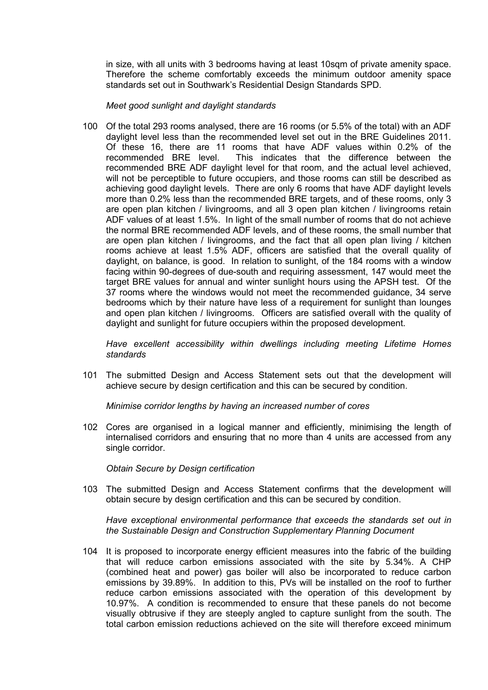in size, with all units with 3 bedrooms having at least 10sqm of private amenity space. Therefore the scheme comfortably exceeds the minimum outdoor amenity space standards set out in Southwark's Residential Design Standards SPD.

*Meet good sunlight and daylight standards* 

100 Of the total 293 rooms analysed, there are 16 rooms (or 5.5% of the total) with an ADF daylight level less than the recommended level set out in the BRE Guidelines 2011. Of these 16, there are 11 rooms that have ADF values within 0.2% of the recommended BRE level. This indicates that the difference between the recommended BRE ADF daylight level for that room, and the actual level achieved, will not be perceptible to future occupiers, and those rooms can still be described as achieving good daylight levels. There are only 6 rooms that have ADF daylight levels more than 0.2% less than the recommended BRE targets, and of these rooms, only 3 are open plan kitchen / livingrooms, and all 3 open plan kitchen / livingrooms retain ADF values of at least 1.5%. In light of the small number of rooms that do not achieve the normal BRE recommended ADF levels, and of these rooms, the small number that are open plan kitchen / livingrooms, and the fact that all open plan living / kitchen rooms achieve at least 1.5% ADF, officers are satisfied that the overall quality of daylight, on balance, is good. In relation to sunlight, of the 184 rooms with a window facing within 90-degrees of due-south and requiring assessment, 147 would meet the target BRE values for annual and winter sunlight hours using the APSH test. Of the 37 rooms where the windows would not meet the recommended guidance, 34 serve bedrooms which by their nature have less of a requirement for sunlight than lounges and open plan kitchen / livingrooms. Officers are satisfied overall with the quality of daylight and sunlight for future occupiers within the proposed development.

*Have excellent accessibility within dwellings including meeting Lifetime Homes standards* 

101 The submitted Design and Access Statement sets out that the development will achieve secure by design certification and this can be secured by condition.

*Minimise corridor lengths by having an increased number of cores* 

102 Cores are organised in a logical manner and efficiently, minimising the length of internalised corridors and ensuring that no more than 4 units are accessed from any single corridor.

*Obtain Secure by Design certification* 

103 The submitted Design and Access Statement confirms that the development will obtain secure by design certification and this can be secured by condition.

*Have exceptional environmental performance that exceeds the standards set out in the Sustainable Design and Construction Supplementary Planning Document* 

104 It is proposed to incorporate energy efficient measures into the fabric of the building that will reduce carbon emissions associated with the site by 5.34%. A CHP (combined heat and power) gas boiler will also be incorporated to reduce carbon emissions by 39.89%. In addition to this, PVs will be installed on the roof to further reduce carbon emissions associated with the operation of this development by 10.97%. A condition is recommended to ensure that these panels do not become visually obtrusive if they are steeply angled to capture sunlight from the south. The total carbon emission reductions achieved on the site will therefore exceed minimum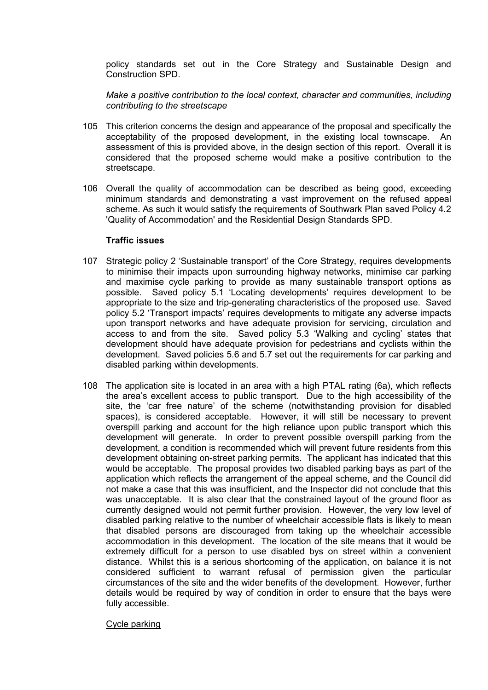policy standards set out in the Core Strategy and Sustainable Design and Construction SPD.

*Make a positive contribution to the local context, character and communities, including contributing to the streetscape* 

- 105 This criterion concerns the design and appearance of the proposal and specifically the acceptability of the proposed development, in the existing local townscape. An assessment of this is provided above, in the design section of this report. Overall it is considered that the proposed scheme would make a positive contribution to the streetscape.
- 106 Overall the quality of accommodation can be described as being good, exceeding minimum standards and demonstrating a vast improvement on the refused appeal scheme. As such it would satisfy the requirements of Southwark Plan saved Policy 4.2 'Quality of Accommodation' and the Residential Design Standards SPD.

## **Traffic issues**

- 107 Strategic policy 2 'Sustainable transport' of the Core Strategy, requires developments to minimise their impacts upon surrounding highway networks, minimise car parking and maximise cycle parking to provide as many sustainable transport options as possible. Saved policy 5.1 'Locating developments' requires development to be appropriate to the size and trip-generating characteristics of the proposed use. Saved policy 5.2 'Transport impacts' requires developments to mitigate any adverse impacts upon transport networks and have adequate provision for servicing, circulation and access to and from the site. Saved policy 5.3 'Walking and cycling' states that development should have adequate provision for pedestrians and cyclists within the development. Saved policies 5.6 and 5.7 set out the requirements for car parking and disabled parking within developments.
- 108 The application site is located in an area with a high PTAL rating (6a), which reflects the area's excellent access to public transport. Due to the high accessibility of the site, the 'car free nature' of the scheme (notwithstanding provision for disabled spaces), is considered acceptable. However, it will still be necessary to prevent overspill parking and account for the high reliance upon public transport which this development will generate. In order to prevent possible overspill parking from the development, a condition is recommended which will prevent future residents from this development obtaining on-street parking permits. The applicant has indicated that this would be acceptable. The proposal provides two disabled parking bays as part of the application which reflects the arrangement of the appeal scheme, and the Council did not make a case that this was insufficient, and the Inspector did not conclude that this was unacceptable. It is also clear that the constrained layout of the ground floor as currently designed would not permit further provision. However, the very low level of disabled parking relative to the number of wheelchair accessible flats is likely to mean that disabled persons are discouraged from taking up the wheelchair accessible accommodation in this development. The location of the site means that it would be extremely difficult for a person to use disabled bys on street within a convenient distance. Whilst this is a serious shortcoming of the application, on balance it is not considered sufficient to warrant refusal of permission given the particular circumstances of the site and the wider benefits of the development. However, further details would be required by way of condition in order to ensure that the bays were fully accessible.

#### Cycle parking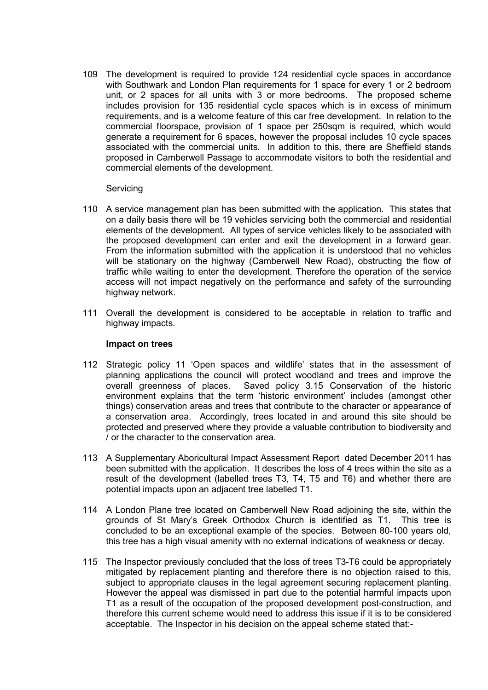109 The development is required to provide 124 residential cycle spaces in accordance with Southwark and London Plan requirements for 1 space for every 1 or 2 bedroom unit, or 2 spaces for all units with 3 or more bedrooms. The proposed scheme includes provision for 135 residential cycle spaces which is in excess of minimum requirements, and is a welcome feature of this car free development. In relation to the commercial floorspace, provision of 1 space per 250sqm is required, which would generate a requirement for 6 spaces, however the proposal includes 10 cycle spaces associated with the commercial units. In addition to this, there are Sheffield stands proposed in Camberwell Passage to accommodate visitors to both the residential and commercial elements of the development.

#### Servicing

- 110 A service management plan has been submitted with the application. This states that on a daily basis there will be 19 vehicles servicing both the commercial and residential elements of the development. All types of service vehicles likely to be associated with the proposed development can enter and exit the development in a forward gear. From the information submitted with the application it is understood that no vehicles will be stationary on the highway (Camberwell New Road), obstructing the flow of traffic while waiting to enter the development. Therefore the operation of the service access will not impact negatively on the performance and safety of the surrounding highway network.
- 111 Overall the development is considered to be acceptable in relation to traffic and highway impacts.

#### **Impact on trees**

- 112 Strategic policy 11 'Open spaces and wildlife' states that in the assessment of planning applications the council will protect woodland and trees and improve the overall greenness of places. Saved policy 3.15 Conservation of the historic environment explains that the term 'historic environment' includes (amongst other things) conservation areas and trees that contribute to the character or appearance of a conservation area. Accordingly, trees located in and around this site should be protected and preserved where they provide a valuable contribution to biodiversity and / or the character to the conservation area.
- 113 A Supplementary Aboricultural Impact Assessment Report dated December 2011 has been submitted with the application. It describes the loss of 4 trees within the site as a result of the development (labelled trees T3, T4, T5 and T6) and whether there are potential impacts upon an adjacent tree labelled T1.
- 114 A London Plane tree located on Camberwell New Road adjoining the site, within the grounds of St Mary's Greek Orthodox Church is identified as T1. This tree is concluded to be an exceptional example of the species. Between 80-100 years old, this tree has a high visual amenity with no external indications of weakness or decay.
- 115 The Inspector previously concluded that the loss of trees T3-T6 could be appropriately mitigated by replacement planting and therefore there is no objection raised to this, subject to appropriate clauses in the legal agreement securing replacement planting. However the appeal was dismissed in part due to the potential harmful impacts upon T1 as a result of the occupation of the proposed development post-construction, and therefore this current scheme would need to address this issue if it is to be considered acceptable. The Inspector in his decision on the appeal scheme stated that:-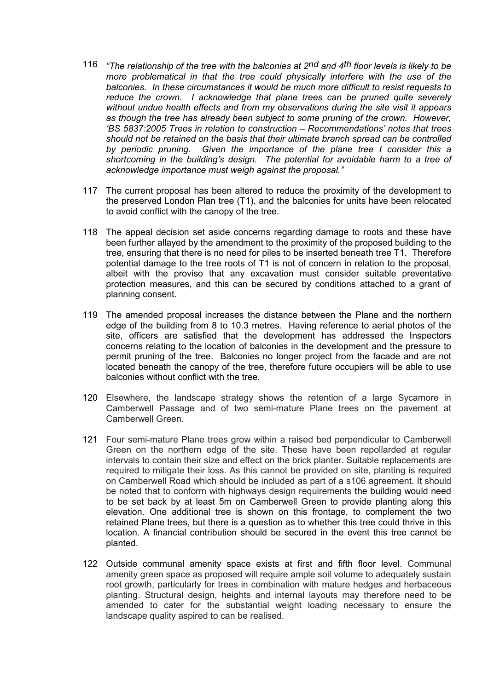- 116 *"The relationship of the tree with the balconies at 2nd and 4th floor levels is likely to be more problematical in that the tree could physically interfere with the use of the balconies. In these circumstances it would be much more difficult to resist requests to reduce the crown. I acknowledge that plane trees can be pruned quite severely without undue health effects and from my observations during the site visit it appears as though the tree has already been subject to some pruning of the crown. However, 'BS 5837:2005 Trees in relation to construction – Recommendations' notes that trees should not be retained on the basis that their ultimate branch spread can be controlled by periodic pruning. Given the importance of the plane tree I consider this a shortcoming in the building's design. The potential for avoidable harm to a tree of acknowledge importance must weigh against the proposal."*
- 117 The current proposal has been altered to reduce the proximity of the development to the preserved London Plan tree (T1), and the balconies for units have been relocated to avoid conflict with the canopy of the tree.
- 118 The appeal decision set aside concerns regarding damage to roots and these have been further allayed by the amendment to the proximity of the proposed building to the tree, ensuring that there is no need for piles to be inserted beneath tree T1. Therefore potential damage to the tree roots of T1 is not of concern in relation to the proposal, albeit with the proviso that any excavation must consider suitable preventative protection measures, and this can be secured by conditions attached to a grant of planning consent.
- 119 The amended proposal increases the distance between the Plane and the northern edge of the building from 8 to 10.3 metres. Having reference to aerial photos of the site, officers are satisfied that the development has addressed the Inspectors concerns relating to the location of balconies in the development and the pressure to permit pruning of the tree. Balconies no longer project from the facade and are not located beneath the canopy of the tree, therefore future occupiers will be able to use balconies without conflict with the tree.
- 120 Elsewhere, the landscape strategy shows the retention of a large Sycamore in Camberwell Passage and of two semi-mature Plane trees on the pavement at Camberwell Green.
- 121 Four semi-mature Plane trees grow within a raised bed perpendicular to Camberwell Green on the northern edge of the site. These have been repollarded at regular intervals to contain their size and effect on the brick planter. Suitable replacements are required to mitigate their loss. As this cannot be provided on site, planting is required on Camberwell Road which should be included as part of a s106 agreement. It should be noted that to conform with highways design requirements the building would need to be set back by at least 5m on Camberwell Green to provide planting along this elevation. One additional tree is shown on this frontage, to complement the two retained Plane trees, but there is a question as to whether this tree could thrive in this location. A financial contribution should be secured in the event this tree cannot be planted.
- 122 Outside communal amenity space exists at first and fifth floor level. Communal amenity green space as proposed will require ample soil volume to adequately sustain root growth, particularly for trees in combination with mature hedges and herbaceous planting. Structural design, heights and internal layouts may therefore need to be amended to cater for the substantial weight loading necessary to ensure the landscape quality aspired to can be realised.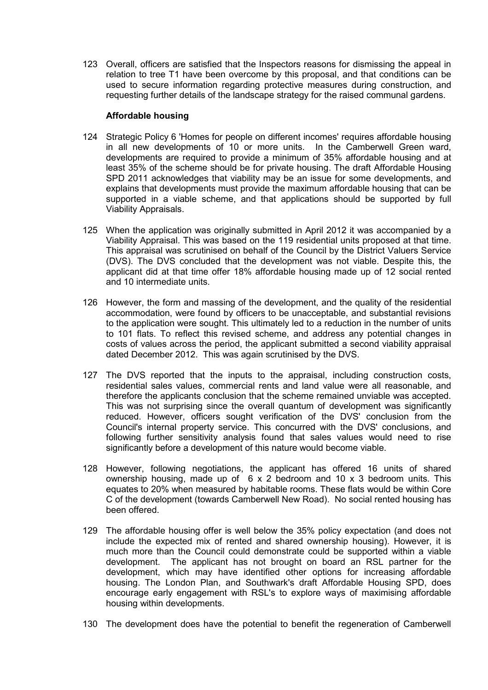123 Overall, officers are satisfied that the Inspectors reasons for dismissing the appeal in relation to tree T1 have been overcome by this proposal, and that conditions can be used to secure information regarding protective measures during construction, and requesting further details of the landscape strategy for the raised communal gardens.

## **Affordable housing**

- 124 Strategic Policy 6 'Homes for people on different incomes' requires affordable housing in all new developments of 10 or more units. In the Camberwell Green ward, developments are required to provide a minimum of 35% affordable housing and at least 35% of the scheme should be for private housing. The draft Affordable Housing SPD 2011 acknowledges that viability may be an issue for some developments, and explains that developments must provide the maximum affordable housing that can be supported in a viable scheme, and that applications should be supported by full Viability Appraisals.
- 125 When the application was originally submitted in April 2012 it was accompanied by a Viability Appraisal. This was based on the 119 residential units proposed at that time. This appraisal was scrutinised on behalf of the Council by the District Valuers Service (DVS). The DVS concluded that the development was not viable. Despite this, the applicant did at that time offer 18% affordable housing made up of 12 social rented and 10 intermediate units.
- 126 However, the form and massing of the development, and the quality of the residential accommodation, were found by officers to be unacceptable, and substantial revisions to the application were sought. This ultimately led to a reduction in the number of units to 101 flats. To reflect this revised scheme, and address any potential changes in costs of values across the period, the applicant submitted a second viability appraisal dated December 2012. This was again scrutinised by the DVS.
- 127 The DVS reported that the inputs to the appraisal, including construction costs, residential sales values, commercial rents and land value were all reasonable, and therefore the applicants conclusion that the scheme remained unviable was accepted. This was not surprising since the overall quantum of development was significantly reduced. However, officers sought verification of the DVS' conclusion from the Council's internal property service. This concurred with the DVS' conclusions, and following further sensitivity analysis found that sales values would need to rise significantly before a development of this nature would become viable.
- 128 However, following negotiations, the applicant has offered 16 units of shared ownership housing, made up of 6 x 2 bedroom and 10 x 3 bedroom units. This equates to 20% when measured by habitable rooms. These flats would be within Core C of the development (towards Camberwell New Road). No social rented housing has been offered.
- 129 The affordable housing offer is well below the 35% policy expectation (and does not include the expected mix of rented and shared ownership housing). However, it is much more than the Council could demonstrate could be supported within a viable development. The applicant has not brought on board an RSL partner for the development, which may have identified other options for increasing affordable housing. The London Plan, and Southwark's draft Affordable Housing SPD, does encourage early engagement with RSL's to explore ways of maximising affordable housing within developments.
- 130 The development does have the potential to benefit the regeneration of Camberwell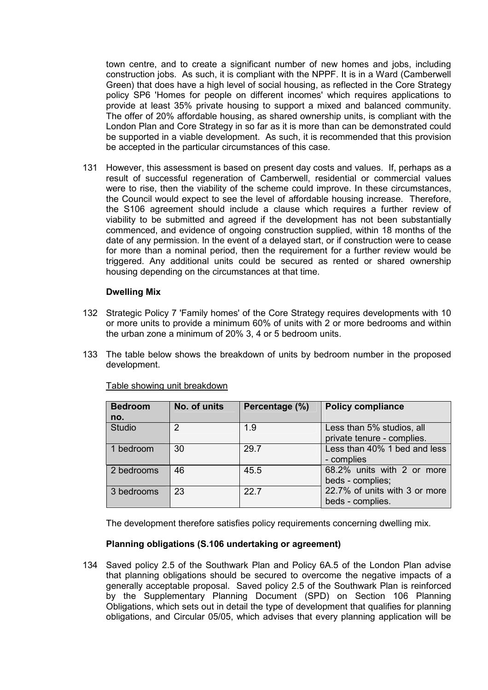town centre, and to create a significant number of new homes and jobs, including construction jobs. As such, it is compliant with the NPPF. It is in a Ward (Camberwell Green) that does have a high level of social housing, as reflected in the Core Strategy policy SP6 'Homes for people on different incomes' which requires applications to provide at least 35% private housing to support a mixed and balanced community. The offer of 20% affordable housing, as shared ownership units, is compliant with the London Plan and Core Strategy in so far as it is more than can be demonstrated could be supported in a viable development. As such, it is recommended that this provision be accepted in the particular circumstances of this case.

131 However, this assessment is based on present day costs and values. If, perhaps as a result of successful regeneration of Camberwell, residential or commercial values were to rise, then the viability of the scheme could improve. In these circumstances, the Council would expect to see the level of affordable housing increase. Therefore, the S106 agreement should include a clause which requires a further review of viability to be submitted and agreed if the development has not been substantially commenced, and evidence of ongoing construction supplied, within 18 months of the date of any permission. In the event of a delayed start, or if construction were to cease for more than a nominal period, then the requirement for a further review would be triggered. Any additional units could be secured as rented or shared ownership housing depending on the circumstances at that time.

### **Dwelling Mix**

- 132 Strategic Policy 7 'Family homes' of the Core Strategy requires developments with 10 or more units to provide a minimum 60% of units with 2 or more bedrooms and within the urban zone a minimum of 20% 3, 4 or 5 bedroom units.
- 133 The table below shows the breakdown of units by bedroom number in the proposed development.

| <b>Bedroom</b> | No. of units | Percentage (%) | <b>Policy compliance</b>      |
|----------------|--------------|----------------|-------------------------------|
| no.            |              |                |                               |
| <b>Studio</b>  | っ            | 1.9            | Less than 5% studios, all     |
|                |              |                | private tenure - complies.    |
| 1 bedroom      | 30           | 29.7           | Less than 40% 1 bed and less  |
|                |              |                | - complies                    |
| 2 bedrooms     | 46           | 45.5           | 68.2% units with 2 or more    |
|                |              |                | beds - complies;              |
| 3 bedrooms     | 23           | 227            | 22.7% of units with 3 or more |
|                |              |                | beds - complies.              |

## Table showing unit breakdown

The development therefore satisfies policy requirements concerning dwelling mix.

#### **Planning obligations (S.106 undertaking or agreement)**

134 Saved policy 2.5 of the Southwark Plan and Policy 6A.5 of the London Plan advise that planning obligations should be secured to overcome the negative impacts of a generally acceptable proposal. Saved policy 2.5 of the Southwark Plan is reinforced by the Supplementary Planning Document (SPD) on Section 106 Planning Obligations, which sets out in detail the type of development that qualifies for planning obligations, and Circular 05/05, which advises that every planning application will be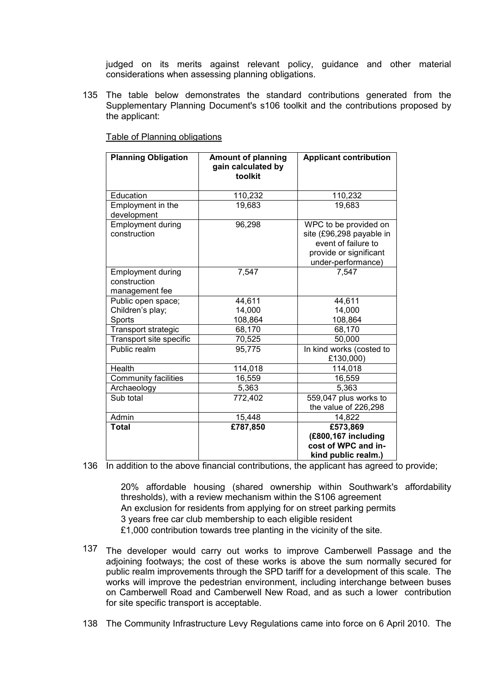judged on its merits against relevant policy, guidance and other material considerations when assessing planning obligations.

135 The table below demonstrates the standard contributions generated from the Supplementary Planning Document's s106 toolkit and the contributions proposed by the applicant:

| <b>Planning Obligation</b>                                 | <b>Amount of planning</b><br>gain calculated by<br>toolkit | <b>Applicant contribution</b>                                                                                            |
|------------------------------------------------------------|------------------------------------------------------------|--------------------------------------------------------------------------------------------------------------------------|
| Education                                                  | 110,232                                                    | 110,232                                                                                                                  |
| Employment in the<br>development                           | 19,683                                                     | 19,683                                                                                                                   |
| <b>Employment during</b><br>construction                   | 96,298                                                     | WPC to be provided on<br>site (£96,298 payable in<br>event of failure to<br>provide or significant<br>under-performance) |
| <b>Employment during</b><br>construction<br>management fee | 7,547                                                      | 7,547                                                                                                                    |
| Public open space;                                         | 44,611                                                     | 44,611                                                                                                                   |
| Children's play;                                           | 14,000                                                     | 14,000                                                                                                                   |
| Sports                                                     | 108,864                                                    | 108,864                                                                                                                  |
| <b>Transport strategic</b>                                 | 68,170                                                     | 68,170                                                                                                                   |
| Transport site specific                                    | 70,525                                                     | 50,000                                                                                                                   |
| Public realm                                               | 95,775                                                     | In kind works (costed to<br>£130,000)                                                                                    |
| Health                                                     | 114,018                                                    | 114,018                                                                                                                  |
| <b>Community facilities</b>                                | 16,559                                                     | 16,559                                                                                                                   |
| Archaeology                                                | 5,363                                                      | 5,363                                                                                                                    |
| Sub total                                                  | 772,402                                                    | 559,047 plus works to<br>the value of 226,298                                                                            |
| Admin                                                      | 15,448                                                     | 14,822                                                                                                                   |
| Total                                                      | £787,850                                                   | £573,869                                                                                                                 |
|                                                            |                                                            | (£800,167 including<br>cost of WPC and in-<br>kind public realm.)                                                        |

Table of Planning obligations

136 In addition to the above financial contributions, the applicant has agreed to provide;

20% affordable housing (shared ownership within Southwark's affordability thresholds), with a review mechanism within the S106 agreement An exclusion for residents from applying for on street parking permits 3 years free car club membership to each eligible resident £1,000 contribution towards tree planting in the vicinity of the site.

137 The developer would carry out works to improve Camberwell Passage and the adjoining footways; the cost of these works is above the sum normally secured for public realm improvements through the SPD tariff for a development of this scale. The works will improve the pedestrian environment, including interchange between buses on Camberwell Road and Camberwell New Road, and as such a lower contribution for site specific transport is acceptable.

138 The Community Infrastructure Levy Regulations came into force on 6 April 2010. The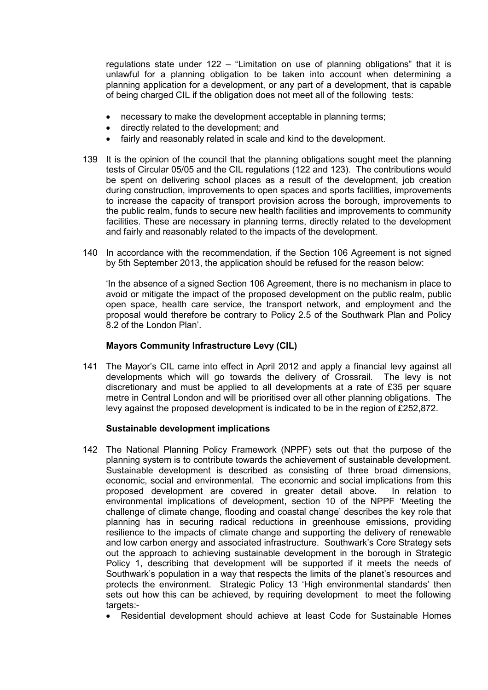regulations state under 122 – "Limitation on use of planning obligations" that it is unlawful for a planning obligation to be taken into account when determining a planning application for a development, or any part of a development, that is capable of being charged CIL if the obligation does not meet all of the following tests:

- necessary to make the development acceptable in planning terms;
- directly related to the development; and
- fairly and reasonably related in scale and kind to the development.
- 139 It is the opinion of the council that the planning obligations sought meet the planning tests of Circular 05/05 and the CIL regulations (122 and 123). The contributions would be spent on delivering school places as a result of the development, job creation during construction, improvements to open spaces and sports facilities, improvements to increase the capacity of transport provision across the borough, improvements to the public realm, funds to secure new health facilities and improvements to community facilities. These are necessary in planning terms, directly related to the development and fairly and reasonably related to the impacts of the development.
- 140 In accordance with the recommendation, if the Section 106 Agreement is not signed by 5th September 2013, the application should be refused for the reason below:

'In the absence of a signed Section 106 Agreement, there is no mechanism in place to avoid or mitigate the impact of the proposed development on the public realm, public open space, health care service, the transport network, and employment and the proposal would therefore be contrary to Policy 2.5 of the Southwark Plan and Policy 8.2 of the London Plan'.

## **Mayors Community Infrastructure Levy (CIL)**

141 The Mayor's CIL came into effect in April 2012 and apply a financial levy against all developments which will go towards the delivery of Crossrail. The levy is not discretionary and must be applied to all developments at a rate of £35 per square metre in Central London and will be prioritised over all other planning obligations. The levy against the proposed development is indicated to be in the region of £252,872.

## **Sustainable development implications**

- 142 The National Planning Policy Framework (NPPF) sets out that the purpose of the planning system is to contribute towards the achievement of sustainable development. Sustainable development is described as consisting of three broad dimensions, economic, social and environmental. The economic and social implications from this proposed development are covered in greater detail above. In relation to environmental implications of development, section 10 of the NPPF 'Meeting the challenge of climate change, flooding and coastal change' describes the key role that planning has in securing radical reductions in greenhouse emissions, providing resilience to the impacts of climate change and supporting the delivery of renewable and low carbon energy and associated infrastructure. Southwark's Core Strategy sets out the approach to achieving sustainable development in the borough in Strategic Policy 1, describing that development will be supported if it meets the needs of Southwark's population in a way that respects the limits of the planet's resources and protects the environment. Strategic Policy 13 'High environmental standards' then sets out how this can be achieved, by requiring development to meet the following targets:-
	- Residential development should achieve at least Code for Sustainable Homes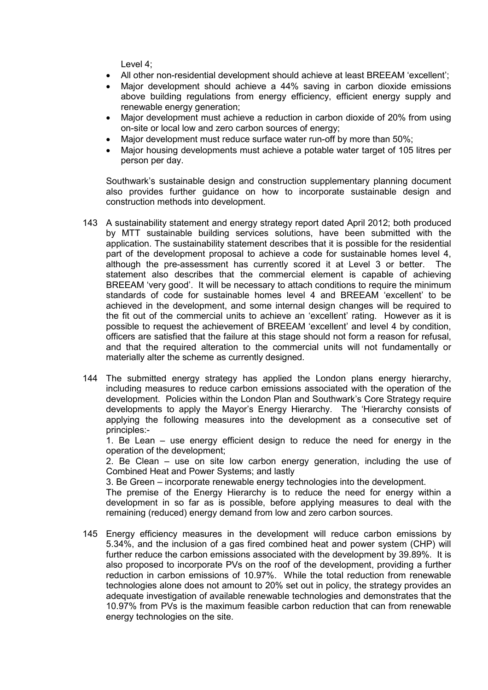Level 4;

- All other non-residential development should achieve at least BREEAM 'excellent';
- Major development should achieve a 44% saving in carbon dioxide emissions above building regulations from energy efficiency, efficient energy supply and renewable energy generation;
- Major development must achieve a reduction in carbon dioxide of 20% from using on-site or local low and zero carbon sources of energy;
- Major development must reduce surface water run-off by more than 50%;
- Major housing developments must achieve a potable water target of 105 litres per person per day.

Southwark's sustainable design and construction supplementary planning document also provides further guidance on how to incorporate sustainable design and construction methods into development.

- 143 A sustainability statement and energy strategy report dated April 2012; both produced by MTT sustainable building services solutions, have been submitted with the application. The sustainability statement describes that it is possible for the residential part of the development proposal to achieve a code for sustainable homes level 4, although the pre-assessment has currently scored it at Level 3 or better. The statement also describes that the commercial element is capable of achieving BREEAM 'very good'. It will be necessary to attach conditions to require the minimum standards of code for sustainable homes level 4 and BREEAM 'excellent' to be achieved in the development, and some internal design changes will be required to the fit out of the commercial units to achieve an 'excellent' rating. However as it is possible to request the achievement of BREEAM 'excellent' and level 4 by condition, officers are satisfied that the failure at this stage should not form a reason for refusal, and that the required alteration to the commercial units will not fundamentally or materially alter the scheme as currently designed.
- 144 The submitted energy strategy has applied the London plans energy hierarchy, including measures to reduce carbon emissions associated with the operation of the development. Policies within the London Plan and Southwark's Core Strategy require developments to apply the Mayor's Energy Hierarchy. The 'Hierarchy consists of applying the following measures into the development as a consecutive set of principles:-

1. Be Lean – use energy efficient design to reduce the need for energy in the operation of the development;

2. Be Clean – use on site low carbon energy generation, including the use of Combined Heat and Power Systems; and lastly

3. Be Green – incorporate renewable energy technologies into the development.

The premise of the Energy Hierarchy is to reduce the need for energy within a development in so far as is possible, before applying measures to deal with the remaining (reduced) energy demand from low and zero carbon sources.

145 Energy efficiency measures in the development will reduce carbon emissions by 5.34%, and the inclusion of a gas fired combined heat and power system (CHP) will further reduce the carbon emissions associated with the development by 39.89%. It is also proposed to incorporate PVs on the roof of the development, providing a further reduction in carbon emissions of 10.97%. While the total reduction from renewable technologies alone does not amount to 20% set out in policy, the strategy provides an adequate investigation of available renewable technologies and demonstrates that the 10.97% from PVs is the maximum feasible carbon reduction that can from renewable energy technologies on the site.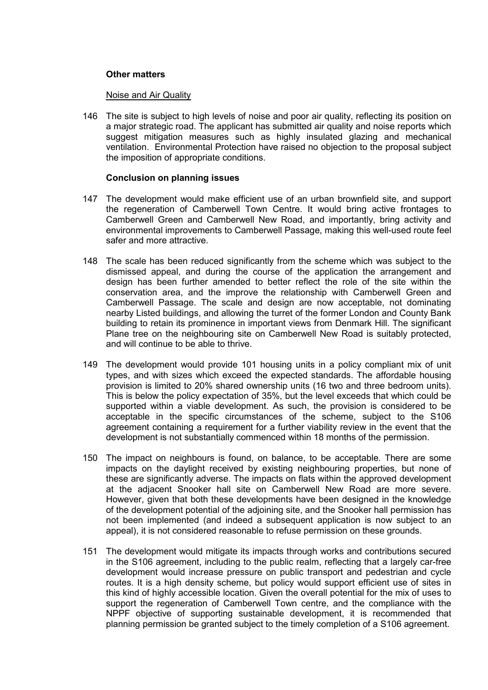## **Other matters**

#### Noise and Air Quality

146 The site is subject to high levels of noise and poor air quality, reflecting its position on a major strategic road. The applicant has submitted air quality and noise reports which suggest mitigation measures such as highly insulated glazing and mechanical ventilation. Environmental Protection have raised no objection to the proposal subject the imposition of appropriate conditions.

#### **Conclusion on planning issues**

- 147 The development would make efficient use of an urban brownfield site, and support the regeneration of Camberwell Town Centre. It would bring active frontages to Camberwell Green and Camberwell New Road, and importantly, bring activity and environmental improvements to Camberwell Passage, making this well-used route feel safer and more attractive.
- 148 The scale has been reduced significantly from the scheme which was subject to the dismissed appeal, and during the course of the application the arrangement and design has been further amended to better reflect the role of the site within the conservation area, and the improve the relationship with Camberwell Green and Camberwell Passage. The scale and design are now acceptable, not dominating nearby Listed buildings, and allowing the turret of the former London and County Bank building to retain its prominence in important views from Denmark Hill. The significant Plane tree on the neighbouring site on Camberwell New Road is suitably protected, and will continue to be able to thrive.
- 149 The development would provide 101 housing units in a policy compliant mix of unit types, and with sizes which exceed the expected standards. The affordable housing provision is limited to 20% shared ownership units (16 two and three bedroom units). This is below the policy expectation of 35%, but the level exceeds that which could be supported within a viable development. As such, the provision is considered to be acceptable in the specific circumstances of the scheme, subject to the S106 agreement containing a requirement for a further viability review in the event that the development is not substantially commenced within 18 months of the permission.
- 150 The impact on neighbours is found, on balance, to be acceptable. There are some impacts on the daylight received by existing neighbouring properties, but none of these are significantly adverse. The impacts on flats within the approved development at the adjacent Snooker hall site on Camberwell New Road are more severe. However, given that both these developments have been designed in the knowledge of the development potential of the adjoining site, and the Snooker hall permission has not been implemented (and indeed a subsequent application is now subject to an appeal), it is not considered reasonable to refuse permission on these grounds.
- 151 The development would mitigate its impacts through works and contributions secured in the S106 agreement, including to the public realm, reflecting that a largely car-free development would increase pressure on public transport and pedestrian and cycle routes. It is a high density scheme, but policy would support efficient use of sites in this kind of highly accessible location. Given the overall potential for the mix of uses to support the regeneration of Camberwell Town centre, and the compliance with the NPPF objective of supporting sustainable development, it is recommended that planning permission be granted subject to the timely completion of a S106 agreement.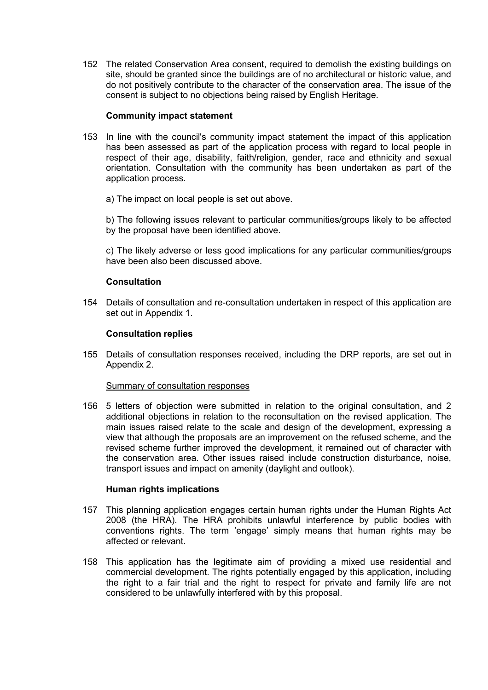152 The related Conservation Area consent, required to demolish the existing buildings on site, should be granted since the buildings are of no architectural or historic value, and do not positively contribute to the character of the conservation area. The issue of the consent is subject to no objections being raised by English Heritage.

#### **Community impact statement**

- 153 In line with the council's community impact statement the impact of this application has been assessed as part of the application process with regard to local people in respect of their age, disability, faith/religion, gender, race and ethnicity and sexual orientation. Consultation with the community has been undertaken as part of the application process.
	- a) The impact on local people is set out above.

b) The following issues relevant to particular communities/groups likely to be affected by the proposal have been identified above.

c) The likely adverse or less good implications for any particular communities/groups have been also been discussed above.

### **Consultation**

154 Details of consultation and re-consultation undertaken in respect of this application are set out in Appendix 1.

### **Consultation replies**

155 Details of consultation responses received, including the DRP reports, are set out in Appendix 2.

#### Summary of consultation responses

156 5 letters of objection were submitted in relation to the original consultation, and 2 additional objections in relation to the reconsultation on the revised application. The main issues raised relate to the scale and design of the development, expressing a view that although the proposals are an improvement on the refused scheme, and the revised scheme further improved the development, it remained out of character with the conservation area. Other issues raised include construction disturbance, noise, transport issues and impact on amenity (daylight and outlook).

#### **Human rights implications**

- 157 This planning application engages certain human rights under the Human Rights Act 2008 (the HRA). The HRA prohibits unlawful interference by public bodies with conventions rights. The term 'engage' simply means that human rights may be affected or relevant.
- 158 This application has the legitimate aim of providing a mixed use residential and commercial development. The rights potentially engaged by this application, including the right to a fair trial and the right to respect for private and family life are not considered to be unlawfully interfered with by this proposal.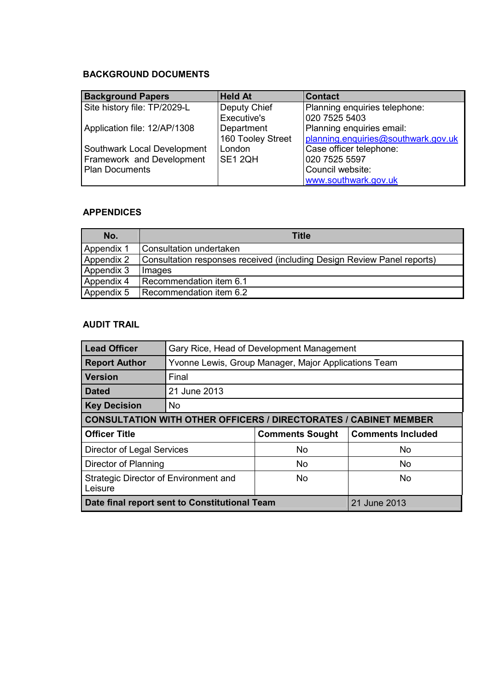## **BACKGROUND DOCUMENTS**

| <b>Background Papers</b>     | <b>Held At</b>    | <b>Contact</b>                      |
|------------------------------|-------------------|-------------------------------------|
| Site history file: TP/2029-L | Deputy Chief      | Planning enquiries telephone:       |
|                              | Executive's       | 020 7525 5403                       |
| Application file: 12/AP/1308 | Department        | Planning enquiries email:           |
|                              | 160 Tooley Street | planning.enquiries@southwark.gov.uk |
| Southwark Local Development  | London            | Case officer telephone:             |
| Framework and Development    | SE1 2QH           | 020 7525 5597                       |
| <b>Plan Documents</b>        |                   | Council website:                    |
|                              |                   | www.southwark.gov.uk                |

## **APPENDICES**

| No.        | <b>Title</b>                                                            |
|------------|-------------------------------------------------------------------------|
| Appendix 1 | Consultation undertaken                                                 |
| Appendix 2 | Consultation responses received (including Design Review Panel reports) |
| Appendix 3 | Images                                                                  |
| Appendix 4 | Recommendation item 6.1                                                 |
| Appendix 5 | Recommendation item 6.2                                                 |

## **AUDIT TRAIL**

| <b>Lead Officer</b>                                                     | Gary Rice, Head of Development Management            |                        |                          |  |
|-------------------------------------------------------------------------|------------------------------------------------------|------------------------|--------------------------|--|
| <b>Report Author</b>                                                    | Yvonne Lewis, Group Manager, Major Applications Team |                        |                          |  |
| <b>Version</b>                                                          | Final                                                |                        |                          |  |
| <b>Dated</b>                                                            | 21 June 2013                                         |                        |                          |  |
| <b>Key Decision</b>                                                     | <b>No</b>                                            |                        |                          |  |
| <b>CONSULTATION WITH OTHER OFFICERS / DIRECTORATES / CABINET MEMBER</b> |                                                      |                        |                          |  |
| <b>Officer Title</b>                                                    |                                                      | <b>Comments Sought</b> | <b>Comments Included</b> |  |
| <b>Director of Legal Services</b>                                       |                                                      | <b>No</b>              | <b>No</b>                |  |
| Director of Planning                                                    |                                                      | No                     | <b>No</b>                |  |
| Strategic Director of Environment and<br>Leisure                        |                                                      | No.                    | No.                      |  |
| Date final report sent to Constitutional Team                           |                                                      |                        | 21 June 2013             |  |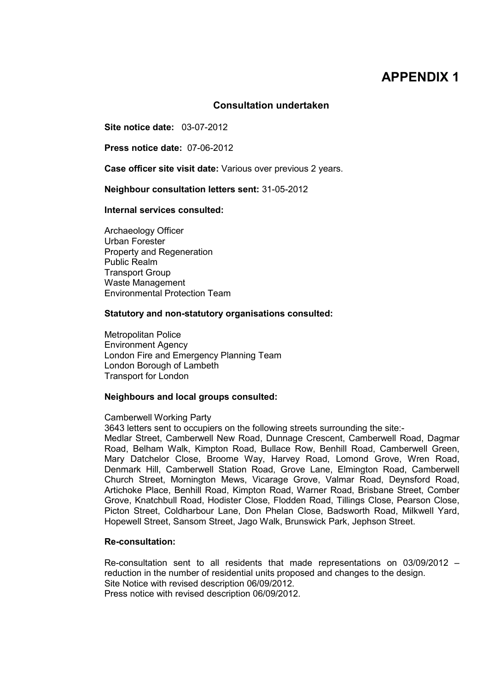## **APPENDIX 1**

#### **Consultation undertaken**

**Site notice date:** 03-07-2012

**Press notice date:** 07-06-2012

**Case officer site visit date:** Various over previous 2 years.

**Neighbour consultation letters sent:** 31-05-2012

**Internal services consulted:**

 Archaeology Officer Urban Forester Property and Regeneration Public Realm Transport Group Waste Management Environmental Protection Team

#### **Statutory and non-statutory organisations consulted:**

 Metropolitan Police Environment Agency London Fire and Emergency Planning Team London Borough of Lambeth Transport for London

#### **Neighbours and local groups consulted:**

#### Camberwell Working Party

3643 letters sent to occupiers on the following streets surrounding the site:-

Medlar Street, Camberwell New Road, Dunnage Crescent, Camberwell Road, Dagmar Road, Belham Walk, Kimpton Road, Bullace Row, Benhill Road, Camberwell Green, Mary Datchelor Close, Broome Way, Harvey Road, Lomond Grove, Wren Road, Denmark Hill, Camberwell Station Road, Grove Lane, Elmington Road, Camberwell Church Street, Mornington Mews, Vicarage Grove, Valmar Road, Deynsford Road, Artichoke Place, Benhill Road, Kimpton Road, Warner Road, Brisbane Street, Comber Grove, Knatchbull Road, Hodister Close, Flodden Road, Tillings Close, Pearson Close, Picton Street, Coldharbour Lane, Don Phelan Close, Badsworth Road, Milkwell Yard, Hopewell Street, Sansom Street, Jago Walk, Brunswick Park, Jephson Street.

#### **Re-consultation:**

 Re-consultation sent to all residents that made representations on 03/09/2012 – reduction in the number of residential units proposed and changes to the design. Site Notice with revised description 06/09/2012. Press notice with revised description 06/09/2012.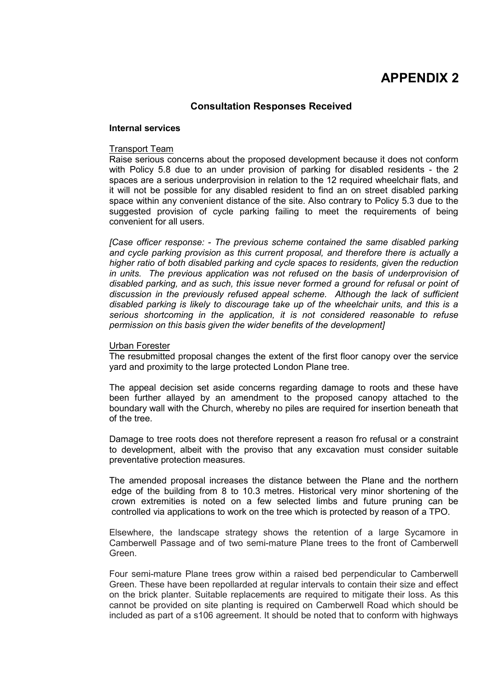## **APPENDIX 2**

## **Consultation Responses Received**

#### **Internal services**

#### Transport Team

Raise serious concerns about the proposed development because it does not conform with Policy 5.8 due to an under provision of parking for disabled residents - the 2 spaces are a serious underprovision in relation to the 12 required wheelchair flats, and it will not be possible for any disabled resident to find an on street disabled parking space within any convenient distance of the site. Also contrary to Policy 5.3 due to the suggested provision of cycle parking failing to meet the requirements of being convenient for all users.

*[Case officer response: - The previous scheme contained the same disabled parking and cycle parking provision as this current proposal, and therefore there is actually a higher ratio of both disabled parking and cycle spaces to residents, given the reduction*  in units. The previous application was not refused on the basis of underprovision of *disabled parking, and as such, this issue never formed a ground for refusal or point of discussion in the previously refused appeal scheme. Although the lack of sufficient disabled parking is likely to discourage take up of the wheelchair units, and this is a serious shortcoming in the application, it is not considered reasonable to refuse permission on this basis given the wider benefits of the development]* 

#### Urban Forester

The resubmitted proposal changes the extent of the first floor canopy over the service yard and proximity to the large protected London Plane tree.

The appeal decision set aside concerns regarding damage to roots and these have been further allayed by an amendment to the proposed canopy attached to the boundary wall with the Church, whereby no piles are required for insertion beneath that of the tree.

Damage to tree roots does not therefore represent a reason fro refusal or a constraint to development, albeit with the proviso that any excavation must consider suitable preventative protection measures.

The amended proposal increases the distance between the Plane and the northern edge of the building from 8 to 10.3 metres. Historical very minor shortening of the crown extremities is noted on a few selected limbs and future pruning can be controlled via applications to work on the tree which is protected by reason of a TPO.

Elsewhere, the landscape strategy shows the retention of a large Sycamore in Camberwell Passage and of two semi-mature Plane trees to the front of Camberwell Green.

Four semi-mature Plane trees grow within a raised bed perpendicular to Camberwell Green. These have been repollarded at regular intervals to contain their size and effect on the brick planter. Suitable replacements are required to mitigate their loss. As this cannot be provided on site planting is required on Camberwell Road which should be included as part of a s106 agreement. It should be noted that to conform with highways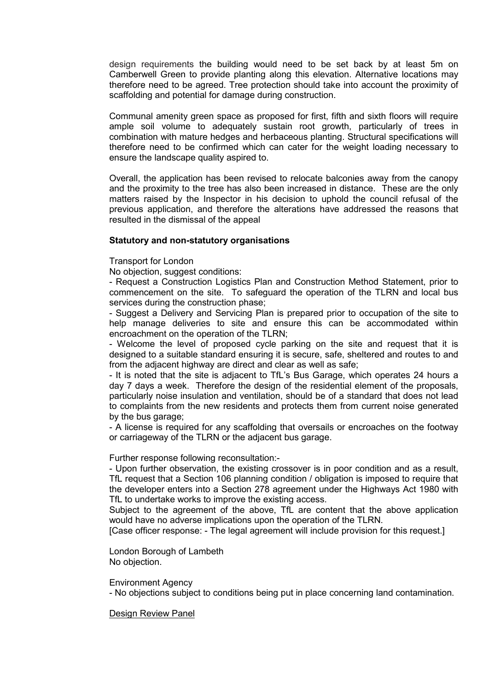design requirements the building would need to be set back by at least 5m on Camberwell Green to provide planting along this elevation. Alternative locations may therefore need to be agreed. Tree protection should take into account the proximity of scaffolding and potential for damage during construction.

Communal amenity green space as proposed for first, fifth and sixth floors will require ample soil volume to adequately sustain root growth, particularly of trees in combination with mature hedges and herbaceous planting. Structural specifications will therefore need to be confirmed which can cater for the weight loading necessary to ensure the landscape quality aspired to.

Overall, the application has been revised to relocate balconies away from the canopy and the proximity to the tree has also been increased in distance. These are the only matters raised by the Inspector in his decision to uphold the council refusal of the previous application, and therefore the alterations have addressed the reasons that resulted in the dismissal of the appeal

### **Statutory and non-statutory organisations**

Transport for London

No objection, suggest conditions:

- Request a Construction Logistics Plan and Construction Method Statement, prior to commencement on the site. To safeguard the operation of the TLRN and local bus services during the construction phase;

- Suggest a Delivery and Servicing Plan is prepared prior to occupation of the site to help manage deliveries to site and ensure this can be accommodated within encroachment on the operation of the TLRN;

- Welcome the level of proposed cycle parking on the site and request that it is designed to a suitable standard ensuring it is secure, safe, sheltered and routes to and from the adjacent highway are direct and clear as well as safe;

- It is noted that the site is adjacent to TfL's Bus Garage, which operates 24 hours a day 7 days a week. Therefore the design of the residential element of the proposals, particularly noise insulation and ventilation, should be of a standard that does not lead to complaints from the new residents and protects them from current noise generated by the bus garage;

- A license is required for any scaffolding that oversails or encroaches on the footway or carriageway of the TLRN or the adjacent bus garage.

Further response following reconsultation:-

- Upon further observation, the existing crossover is in poor condition and as a result, TfL request that a Section 106 planning condition / obligation is imposed to require that the developer enters into a Section 278 agreement under the Highways Act 1980 with TfL to undertake works to improve the existing access.

Subject to the agreement of the above, TfL are content that the above application would have no adverse implications upon the operation of the TLRN.

[Case officer response: - The legal agreement will include provision for this request.]

 London Borough of Lambeth No objection.

Environment Agency

- No objections subject to conditions being put in place concerning land contamination.

Design Review Panel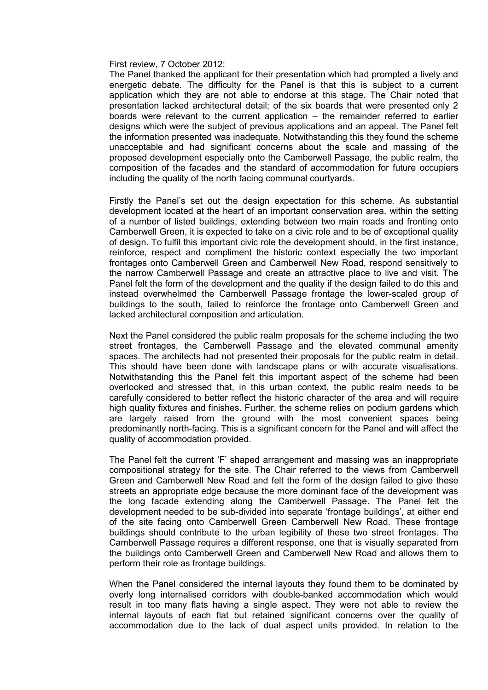First review, 7 October 2012:

The Panel thanked the applicant for their presentation which had prompted a lively and energetic debate. The difficulty for the Panel is that this is subject to a current application which they are not able to endorse at this stage. The Chair noted that presentation lacked architectural detail; of the six boards that were presented only 2 boards were relevant to the current application – the remainder referred to earlier designs which were the subject of previous applications and an appeal. The Panel felt the information presented was inadequate. Notwithstanding this they found the scheme unacceptable and had significant concerns about the scale and massing of the proposed development especially onto the Camberwell Passage, the public realm, the composition of the facades and the standard of accommodation for future occupiers including the quality of the north facing communal courtyards.

Firstly the Panel's set out the design expectation for this scheme. As substantial development located at the heart of an important conservation area, within the setting of a number of listed buildings, extending between two main roads and fronting onto Camberwell Green, it is expected to take on a civic role and to be of exceptional quality of design. To fulfil this important civic role the development should, in the first instance, reinforce, respect and compliment the historic context especially the two important frontages onto Camberwell Green and Camberwell New Road, respond sensitively to the narrow Camberwell Passage and create an attractive place to live and visit. The Panel felt the form of the development and the quality if the design failed to do this and instead overwhelmed the Camberwell Passage frontage the lower-scaled group of buildings to the south, failed to reinforce the frontage onto Camberwell Green and lacked architectural composition and articulation.

Next the Panel considered the public realm proposals for the scheme including the two street frontages, the Camberwell Passage and the elevated communal amenity spaces. The architects had not presented their proposals for the public realm in detail. This should have been done with landscape plans or with accurate visualisations. Notwithstanding this the Panel felt this important aspect of the scheme had been overlooked and stressed that, in this urban context, the public realm needs to be carefully considered to better reflect the historic character of the area and will require high quality fixtures and finishes. Further, the scheme relies on podium gardens which are largely raised from the ground with the most convenient spaces being predominantly north-facing. This is a significant concern for the Panel and will affect the quality of accommodation provided.

The Panel felt the current 'F' shaped arrangement and massing was an inappropriate compositional strategy for the site. The Chair referred to the views from Camberwell Green and Camberwell New Road and felt the form of the design failed to give these streets an appropriate edge because the more dominant face of the development was the long facade extending along the Camberwell Passage. The Panel felt the development needed to be sub-divided into separate 'frontage buildings', at either end of the site facing onto Camberwell Green Camberwell New Road. These frontage buildings should contribute to the urban legibility of these two street frontages. The Camberwell Passage requires a different response, one that is visually separated from the buildings onto Camberwell Green and Camberwell New Road and allows them to perform their role as frontage buildings.

When the Panel considered the internal layouts they found them to be dominated by overly long internalised corridors with double-banked accommodation which would result in too many flats having a single aspect. They were not able to review the internal layouts of each flat but retained significant concerns over the quality of accommodation due to the lack of dual aspect units provided. In relation to the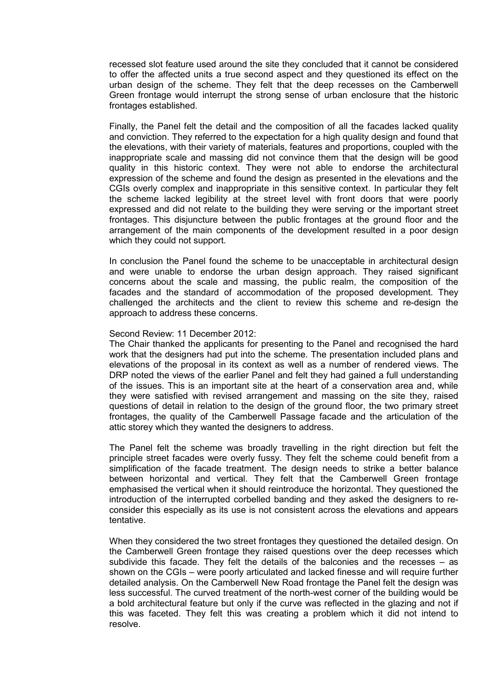recessed slot feature used around the site they concluded that it cannot be considered to offer the affected units a true second aspect and they questioned its effect on the urban design of the scheme. They felt that the deep recesses on the Camberwell Green frontage would interrupt the strong sense of urban enclosure that the historic frontages established.

Finally, the Panel felt the detail and the composition of all the facades lacked quality and conviction. They referred to the expectation for a high quality design and found that the elevations, with their variety of materials, features and proportions, coupled with the inappropriate scale and massing did not convince them that the design will be good quality in this historic context. They were not able to endorse the architectural expression of the scheme and found the design as presented in the elevations and the CGIs overly complex and inappropriate in this sensitive context. In particular they felt the scheme lacked legibility at the street level with front doors that were poorly expressed and did not relate to the building they were serving or the important street frontages. This disjuncture between the public frontages at the ground floor and the arrangement of the main components of the development resulted in a poor design which they could not support.

In conclusion the Panel found the scheme to be unacceptable in architectural design and were unable to endorse the urban design approach. They raised significant concerns about the scale and massing, the public realm, the composition of the facades and the standard of accommodation of the proposed development. They challenged the architects and the client to review this scheme and re-design the approach to address these concerns.

#### Second Review: 11 December 2012:

The Chair thanked the applicants for presenting to the Panel and recognised the hard work that the designers had put into the scheme. The presentation included plans and elevations of the proposal in its context as well as a number of rendered views. The DRP noted the views of the earlier Panel and felt they had gained a full understanding of the issues. This is an important site at the heart of a conservation area and, while they were satisfied with revised arrangement and massing on the site they, raised questions of detail in relation to the design of the ground floor, the two primary street frontages, the quality of the Camberwell Passage facade and the articulation of the attic storey which they wanted the designers to address.

The Panel felt the scheme was broadly travelling in the right direction but felt the principle street facades were overly fussy. They felt the scheme could benefit from a simplification of the facade treatment. The design needs to strike a better balance between horizontal and vertical. They felt that the Camberwell Green frontage emphasised the vertical when it should reintroduce the horizontal. They questioned the introduction of the interrupted corbelled banding and they asked the designers to reconsider this especially as its use is not consistent across the elevations and appears tentative.

When they considered the two street frontages they questioned the detailed design. On the Camberwell Green frontage they raised questions over the deep recesses which subdivide this facade. They felt the details of the balconies and the recesses – as shown on the CGIs – were poorly articulated and lacked finesse and will require further detailed analysis. On the Camberwell New Road frontage the Panel felt the design was less successful. The curved treatment of the north-west corner of the building would be a bold architectural feature but only if the curve was reflected in the glazing and not if this was faceted. They felt this was creating a problem which it did not intend to resolve.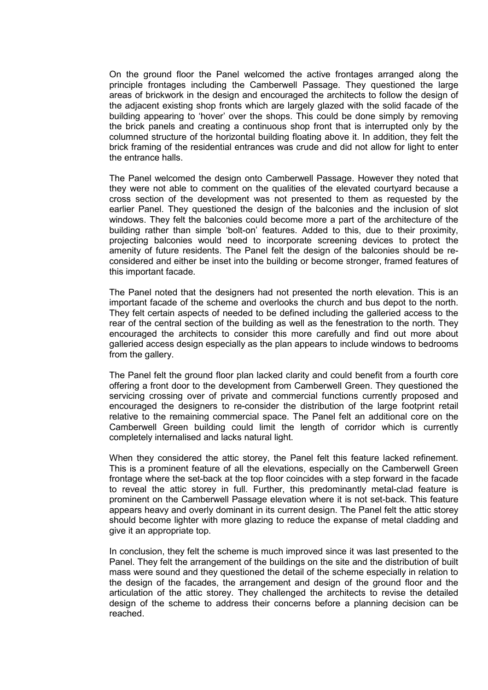On the ground floor the Panel welcomed the active frontages arranged along the principle frontages including the Camberwell Passage. They questioned the large areas of brickwork in the design and encouraged the architects to follow the design of the adjacent existing shop fronts which are largely glazed with the solid facade of the building appearing to 'hover' over the shops. This could be done simply by removing the brick panels and creating a continuous shop front that is interrupted only by the columned structure of the horizontal building floating above it. In addition, they felt the brick framing of the residential entrances was crude and did not allow for light to enter the entrance halls.

The Panel welcomed the design onto Camberwell Passage. However they noted that they were not able to comment on the qualities of the elevated courtyard because a cross section of the development was not presented to them as requested by the earlier Panel. They questioned the design of the balconies and the inclusion of slot windows. They felt the balconies could become more a part of the architecture of the building rather than simple 'bolt-on' features. Added to this, due to their proximity, projecting balconies would need to incorporate screening devices to protect the amenity of future residents. The Panel felt the design of the balconies should be reconsidered and either be inset into the building or become stronger, framed features of this important facade.

The Panel noted that the designers had not presented the north elevation. This is an important facade of the scheme and overlooks the church and bus depot to the north. They felt certain aspects of needed to be defined including the galleried access to the rear of the central section of the building as well as the fenestration to the north. They encouraged the architects to consider this more carefully and find out more about galleried access design especially as the plan appears to include windows to bedrooms from the gallery.

The Panel felt the ground floor plan lacked clarity and could benefit from a fourth core offering a front door to the development from Camberwell Green. They questioned the servicing crossing over of private and commercial functions currently proposed and encouraged the designers to re-consider the distribution of the large footprint retail relative to the remaining commercial space. The Panel felt an additional core on the Camberwell Green building could limit the length of corridor which is currently completely internalised and lacks natural light.

When they considered the attic storey, the Panel felt this feature lacked refinement. This is a prominent feature of all the elevations, especially on the Camberwell Green frontage where the set-back at the top floor coincides with a step forward in the facade to reveal the attic storey in full. Further, this predominantly metal-clad feature is prominent on the Camberwell Passage elevation where it is not set-back. This feature appears heavy and overly dominant in its current design. The Panel felt the attic storey should become lighter with more glazing to reduce the expanse of metal cladding and give it an appropriate top.

In conclusion, they felt the scheme is much improved since it was last presented to the Panel. They felt the arrangement of the buildings on the site and the distribution of built mass were sound and they questioned the detail of the scheme especially in relation to the design of the facades, the arrangement and design of the ground floor and the articulation of the attic storey. They challenged the architects to revise the detailed design of the scheme to address their concerns before a planning decision can be reached.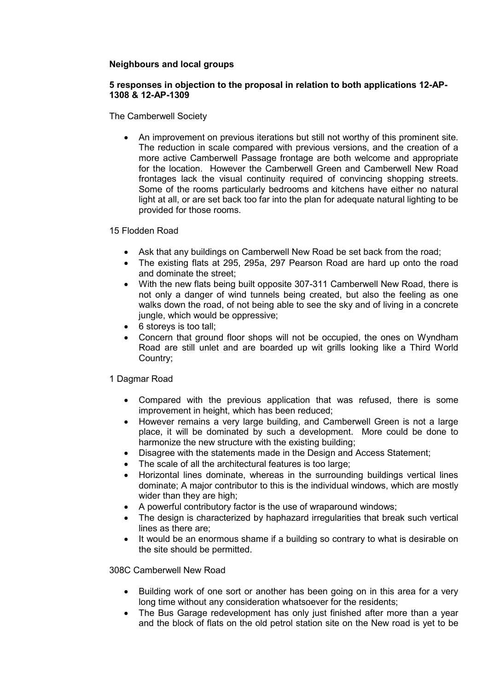## **Neighbours and local groups**

## **5 responses in objection to the proposal in relation to both applications 12-AP-1308 & 12-AP-1309**

The Camberwell Society

• An improvement on previous iterations but still not worthy of this prominent site. The reduction in scale compared with previous versions, and the creation of a more active Camberwell Passage frontage are both welcome and appropriate for the location. However the Camberwell Green and Camberwell New Road frontages lack the visual continuity required of convincing shopping streets. Some of the rooms particularly bedrooms and kitchens have either no natural light at all, or are set back too far into the plan for adequate natural lighting to be provided for those rooms.

15 Flodden Road

- Ask that any buildings on Camberwell New Road be set back from the road;
- The existing flats at 295, 295a, 297 Pearson Road are hard up onto the road and dominate the street;
- With the new flats being built opposite 307-311 Camberwell New Road, there is not only a danger of wind tunnels being created, but also the feeling as one walks down the road, of not being able to see the sky and of living in a concrete jungle, which would be oppressive;
- 6 storeys is too tall;
- Concern that ground floor shops will not be occupied, the ones on Wyndham Road are still unlet and are boarded up wit grills looking like a Third World Country;

## 1 Dagmar Road

- Compared with the previous application that was refused, there is some improvement in height, which has been reduced;
- However remains a very large building, and Camberwell Green is not a large place, it will be dominated by such a development. More could be done to harmonize the new structure with the existing building;
- Disagree with the statements made in the Design and Access Statement;
- The scale of all the architectural features is too large:
- Horizontal lines dominate, whereas in the surrounding buildings vertical lines dominate; A major contributor to this is the individual windows, which are mostly wider than they are high;
- A powerful contributory factor is the use of wraparound windows;
- The design is characterized by haphazard irregularities that break such vertical lines as there are;
- It would be an enormous shame if a building so contrary to what is desirable on the site should be permitted.

308C Camberwell New Road

- Building work of one sort or another has been going on in this area for a very long time without any consideration whatsoever for the residents;
- The Bus Garage redevelopment has only just finished after more than a year and the block of flats on the old petrol station site on the New road is yet to be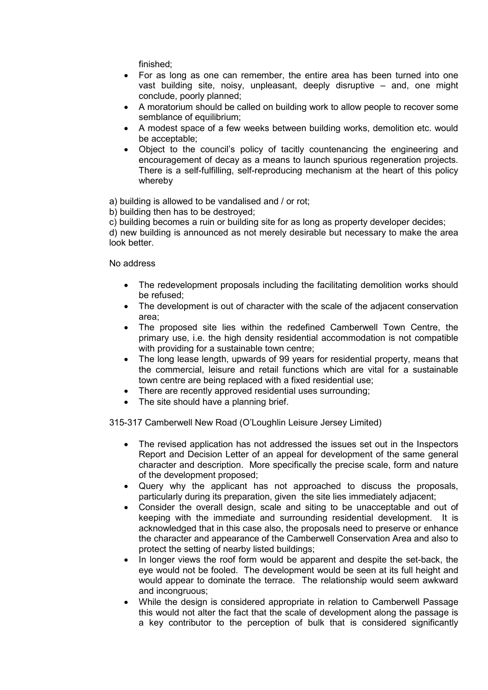finished;

- For as long as one can remember, the entire area has been turned into one vast building site, noisy, unpleasant, deeply disruptive – and, one might conclude, poorly planned;
- A moratorium should be called on building work to allow people to recover some semblance of equilibrium;
- A modest space of a few weeks between building works, demolition etc. would be acceptable;
- Object to the council's policy of tacitly countenancing the engineering and encouragement of decay as a means to launch spurious regeneration projects. There is a self-fulfilling, self-reproducing mechanism at the heart of this policy whereby

a) building is allowed to be vandalised and / or rot;

b) building then has to be destroyed;

c) building becomes a ruin or building site for as long as property developer decides;

d) new building is announced as not merely desirable but necessary to make the area look better.

No address

- The redevelopment proposals including the facilitating demolition works should be refused;
- The development is out of character with the scale of the adjacent conservation area;
- The proposed site lies within the redefined Camberwell Town Centre, the primary use, i.e. the high density residential accommodation is not compatible with providing for a sustainable town centre;
- The long lease length, upwards of 99 years for residential property, means that the commercial, leisure and retail functions which are vital for a sustainable town centre are being replaced with a fixed residential use;
- There are recently approved residential uses surrounding;
- The site should have a planning brief.

315-317 Camberwell New Road (O'Loughlin Leisure Jersey Limited)

- The revised application has not addressed the issues set out in the Inspectors Report and Decision Letter of an appeal for development of the same general character and description. More specifically the precise scale, form and nature of the development proposed;
- Query why the applicant has not approached to discuss the proposals, particularly during its preparation, given the site lies immediately adjacent;
- Consider the overall design, scale and siting to be unacceptable and out of keeping with the immediate and surrounding residential development. It is acknowledged that in this case also, the proposals need to preserve or enhance the character and appearance of the Camberwell Conservation Area and also to protect the setting of nearby listed buildings;
- In longer views the roof form would be apparent and despite the set-back, the eye would not be fooled. The development would be seen at its full height and would appear to dominate the terrace. The relationship would seem awkward and incongruous;
- While the design is considered appropriate in relation to Camberwell Passage this would not alter the fact that the scale of development along the passage is a key contributor to the perception of bulk that is considered significantly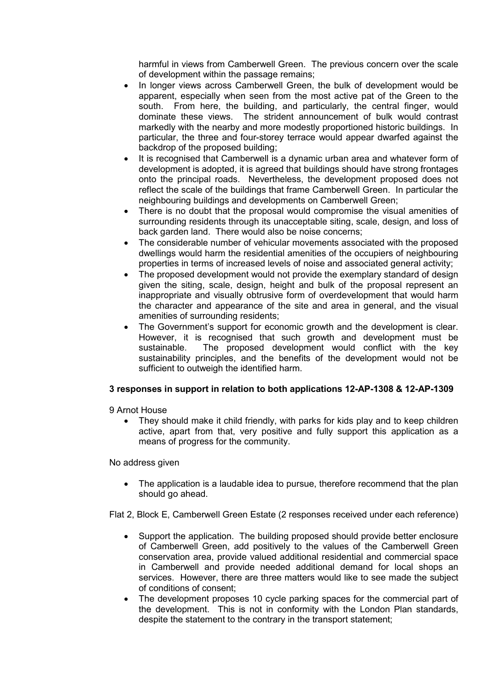harmful in views from Camberwell Green. The previous concern over the scale of development within the passage remains;

- In longer views across Camberwell Green, the bulk of development would be apparent, especially when seen from the most active pat of the Green to the south. From here, the building, and particularly, the central finger, would dominate these views. The strident announcement of bulk would contrast markedly with the nearby and more modestly proportioned historic buildings. In particular, the three and four-storey terrace would appear dwarfed against the backdrop of the proposed building;
- It is recognised that Camberwell is a dynamic urban area and whatever form of development is adopted, it is agreed that buildings should have strong frontages onto the principal roads. Nevertheless, the development proposed does not reflect the scale of the buildings that frame Camberwell Green. In particular the neighbouring buildings and developments on Camberwell Green;
- There is no doubt that the proposal would compromise the visual amenities of surrounding residents through its unacceptable siting, scale, design, and loss of back garden land. There would also be noise concerns;
- The considerable number of vehicular movements associated with the proposed dwellings would harm the residential amenities of the occupiers of neighbouring properties in terms of increased levels of noise and associated general activity;
- The proposed development would not provide the exemplary standard of design given the siting, scale, design, height and bulk of the proposal represent an inappropriate and visually obtrusive form of overdevelopment that would harm the character and appearance of the site and area in general, and the visual amenities of surrounding residents;
- The Government's support for economic growth and the development is clear. However, it is recognised that such growth and development must be sustainable. The proposed development would conflict with the key sustainability principles, and the benefits of the development would not be sufficient to outweigh the identified harm.

## **3 responses in support in relation to both applications 12-AP-1308 & 12-AP-1309**

9 Arnot House

• They should make it child friendly, with parks for kids play and to keep children active, apart from that, very positive and fully support this application as a means of progress for the community.

No address given

• The application is a laudable idea to pursue, therefore recommend that the plan should go ahead.

Flat 2, Block E, Camberwell Green Estate (2 responses received under each reference)

- Support the application. The building proposed should provide better enclosure of Camberwell Green, add positively to the values of the Camberwell Green conservation area, provide valued additional residential and commercial space in Camberwell and provide needed additional demand for local shops an services. However, there are three matters would like to see made the subject of conditions of consent;
- The development proposes 10 cycle parking spaces for the commercial part of the development. This is not in conformity with the London Plan standards, despite the statement to the contrary in the transport statement;